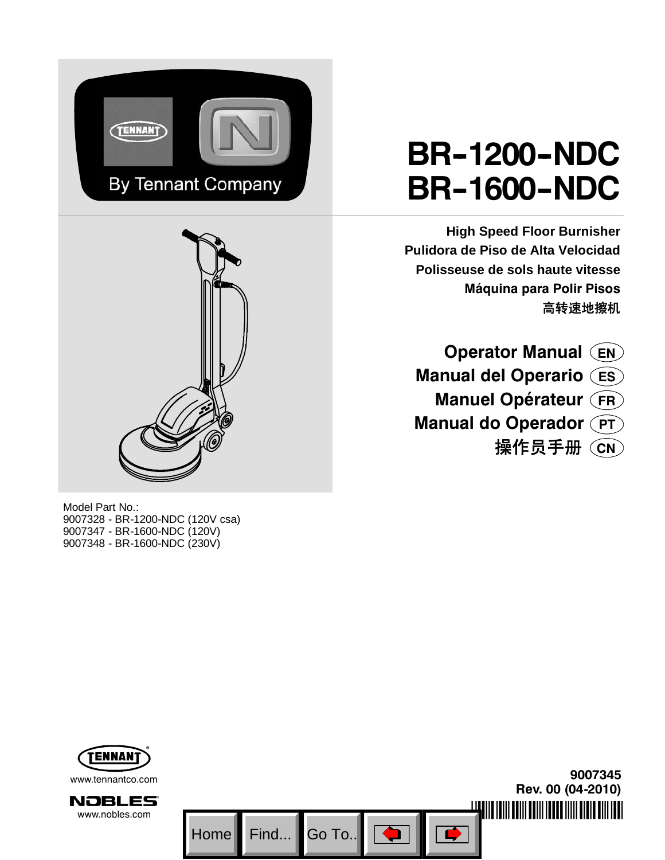



#### Model Part No.: 9007328 - BR-1200-NDC (120V csa) 9007347 - BR-1600-NDC (120V) 9007348 - BR-1600-NDC (230V)

# **BR--1200--NDC BR--1600--NDC**

**High Speed Floor Burnisher Pulidora de Piso de Alta Velocidad Polisseuse de sols haute vitesse Máquina para Polir Pisos** 高转速地擦机

**Operator Manual EN Manual del Operario ES Manuel Opérateur FR Manual do Operador**  $\widehat{PT}$ 操作员手册 **CN**

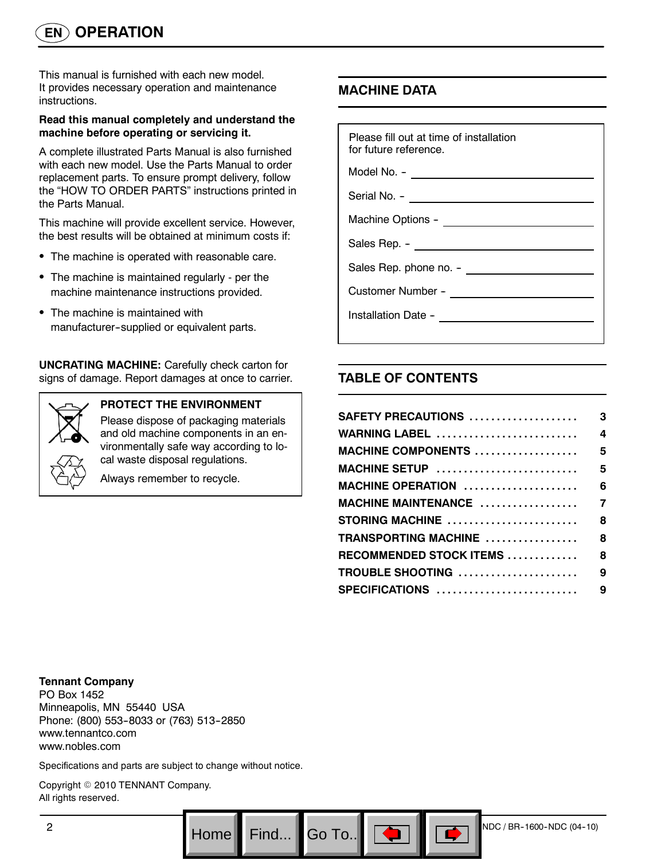This manual is furnished with each new model. It provides necessary operation and maintenance instructions.

#### **Read this manual completely and understand the machine before operating or servicing it.**

A complete illustrated Parts Manual is also furnished with each new model. Use the Parts Manual to order replacement parts. To ensure prompt delivery, follow the "HOW TO ORDER PARTS" instructions printed in the Parts Manual.

This machine will provide excellent service. However, the best results will be obtained at minimum costs if:

- The machine is operated with reasonable care.
- The machine is maintained regularly per the machine maintenance instructions provided.
- The machine is maintained with manufacturer--supplied or equivalent parts.

**UNCRATING MACHINE:** Carefully check carton for signs of damage. Report damages at once to carrier.



#### **PROTECT THE ENVIRONMENT**

Please dispose of packaging materials and old machine components in an environmentally safe way according to local waste disposal regulations.

Always remember to recycle.

# **MACHINE DATA**

| Please fill out at time of installation<br>for future reference. |
|------------------------------------------------------------------|
|                                                                  |
|                                                                  |
|                                                                  |
|                                                                  |
|                                                                  |
|                                                                  |
|                                                                  |

# **TABLE OF CONTENTS**

 $Go$  To..

| SAFETY PRECAUTIONS         | 3                |
|----------------------------|------------------|
| <b>WARNING LABEL </b>      | $\boldsymbol{4}$ |
| <b>MACHINE COMPONENTS </b> | 5                |
| MACHINE SETUP              | 5                |
| MACHINE OPERATION          | 6                |
|                            |                  |
| STORING MACHINE            | 8                |
| TRANSPORTING MACHINE       | 8                |
| RECOMMENDED STOCK ITEMS    | 8                |
| TROUBLE SHOOTING           | 9                |
| SPECIFICATIONS             | 9                |
|                            |                  |

**Tennant Company**

PO Box 1452 Minneapolis, MN 55440 USA Phone: (800) 553-8033 or (763) 513-2850 www.tennantco.com www.nobles.com

Specifications and parts are subject to change without notice.

Copyright © 2010 TENNANT Company. All rights reserved.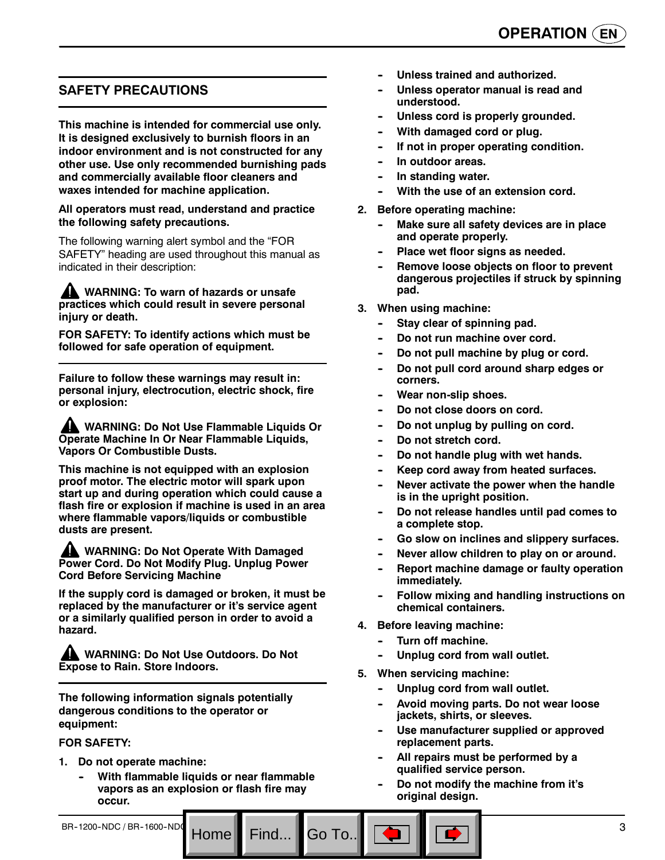# **SAFETY PRECAUTIONS**

**This machine is intended for commercial use only. It is designed exclusively to burnish floors in an indoor environment and is not constructed for any other use. Use only recommended burnishing pads and commercially available floor cleaners and waxes intended for machine application.**

**All operators must read, understand and practice the following safety precautions.**

The following warning alert symbol and the "FOR SAFETY" heading are used throughout this manual as indicated in their description:

**WARNING: To warn of hazards or unsafe practices which could result in severe personal injury or death.**

**FOR SAFETY: To identify actions which must be followed for safe operation of equipment.**

**Failure to follow these warnings may result in: personal injury, electrocution, electric shock, fire or explosion:**

**WARNING: Do Not Use Flammable Liquids Or Operate Machine In Or Near Flammable Liquids, Vapors Or Combustible Dusts.**

**This machine is not equipped with an explosion proof motor. The electric motor will spark upon start up and during operation which could cause a flash fire or explosion if machine is used in an area where flammable vapors/liquids or combustible dusts are present.**

**WARNING: Do Not Operate With Damaged Power Cord. Do Not Modify Plug. Unplug Power Cord Before Servicing Machine**

**If the supply cord is damaged or broken, it must be replaced by the manufacturer or it's service agent or a similarly qualified person in order to avoid a hazard.**

**WARNING: Do Not Use Outdoors. Do Not Expose to Rain. Store Indoors.**

**The following information signals potentially dangerous conditions to the operator or equipment:**

#### **FOR SAFETY:**

- **1. Do not operate machine:**
	- **With flammable liquids or near flammable vapors as an explosion or flash fire may occur.**
- Unless trained and authorized.
- Unless operator manual is read and **understood.**
- Unless cord is properly grounded.
- **With damaged cord or plug.**
- **If not in proper operating condition.**
- In outdoor areas.
- **In standing water.**
- **With the use of an extension cord.**
- **2. Before operating machine:**
	- **Make sure all safety devices are in place and operate properly.**
	- Place wet floor signs as needed.
	- **Remove loose objects on floor to prevent dangerous projectiles if struck by spinning pad.**
- **3. When using machine:**
	- **Stay clear of spinning pad.**
	- Do not run machine over cord.
	- Do not pull machine by plug or cord.
	- Do not pull cord around sharp edges or **corners.**
	- **Wear non-slip shoes.**
	- Do not close doors on cord.
	- Do not unplug by pulling on cord.
	- Do not stretch cord.
	- Do not handle plug with wet hands.
	- Keep cord away from heated surfaces.
	- Never activate the power when the handle **is in the upright position.**
	- Do not release handles until pad comes to **a complete stop.**
	- Go slow on inclines and slippery surfaces.
	- Never allow children to play on or around.
	- **Report machine damage or faulty operation immediately.**
	- **Follow mixing and handling instructions on chemical containers.**
- **4. Before leaving machine:**
	- **Turn off machine.**
	- Unplug cord from wall outlet.
- **5. When servicing machine:**
	- Unplug cord from wall outlet.
	- Avoid moving parts. Do not wear loose **jackets, shirts, or sleeves.**
	- Use manufacturer supplied or approved **replacement parts.**
	- All repairs must be performed by a **qualified service person.**
	- Do not modify the machine from it's **original design.**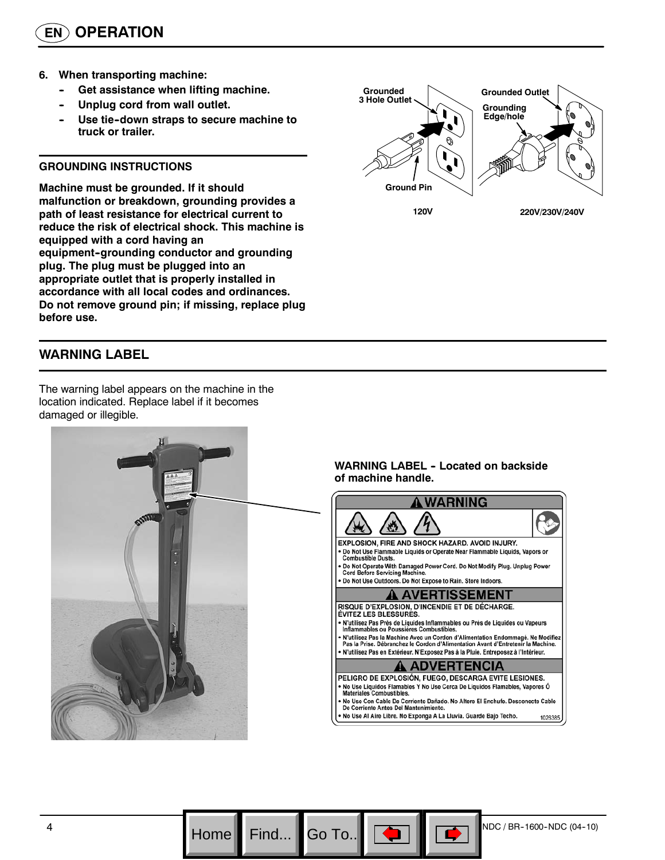- **6. When transporting machine:**
	- **Get assistance when lifting machine.**
	- Unplug cord from wall outlet.
	- Use tie-down straps to secure machine to **truck or trailer.**

#### **GROUNDING INSTRUCTIONS**

**Machine must be grounded. If it should malfunction or breakdown, grounding provides a path of least resistance for electrical current to reduce the risk of electrical shock. This machine is equipped with a cord having an** equipment-grounding conductor and grounding **plug. The plug must be plugged into an appropriate outlet that is properly installed in accordance with all local codes and ordinances. Do not remove ground pin; if missing, replace plug before use.**

### **WARNING LABEL**

The warning label appears on the machine in the location indicated. Replace label if it becomes damaged or illegible.

# **Grounded Outlet Grounding Edge/hole Grounded 3 Hole Outlet Ground Pin 120V 220V/230V/240V**

**WARNING LABEL - Located on backside of machine handle.**

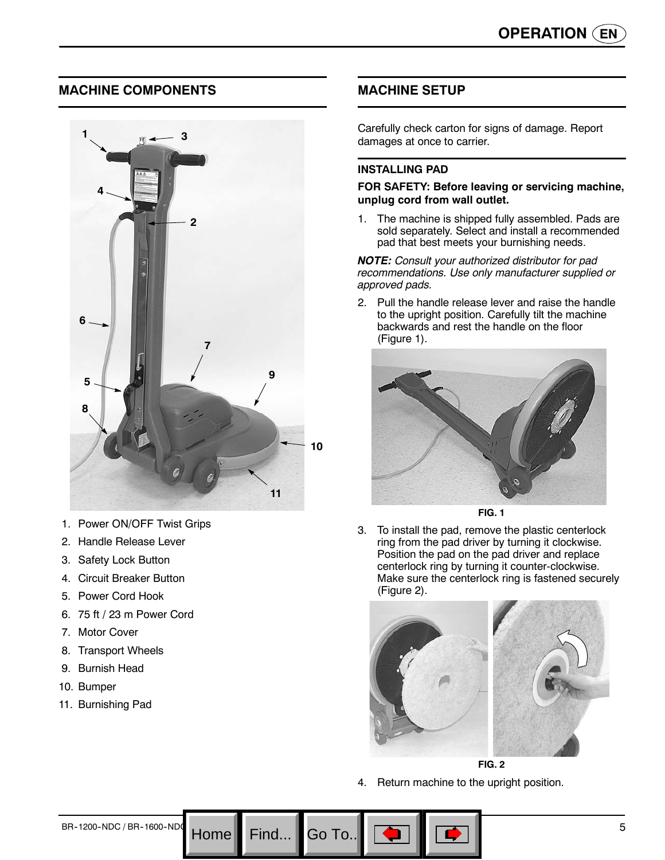### **MACHINE COMPONENTS**



- 1. Power ON/OFF Twist Grips
- 2. Handle Release Lever
- 3. Safety Lock Button
- 4. Circuit Breaker Button
- 5. Power Cord Hook
- 6. 75 ft / 23 m Power Cord
- 7. Motor Cover
- 8. Transport Wheels
- 9. Burnish Head
- 10. Bumper
- 11. Burnishing Pad

### **MACHINE SETUP**

Carefully check carton for signs of damage. Report damages at once to carrier.

#### **INSTALLING PAD**

#### **FOR SAFETY: Before leaving or servicing machine, unplug cord from wall outlet.**

1. The machine is shipped fully assembled. Pads are sold separately. Select and install a recommended pad that best meets your burnishing needs.

*NOTE: Consult your authorized distributor for pad recommendations. Use only manufacturer supplied or approved pads.*

2. Pull the handle release lever and raise the handle to the upright position. Carefully tilt the machine backwards and rest the handle on the floor (Figure 1).



**FIG. 1**

3. To install the pad, remove the plastic centerlock ring from the pad driver by turning it clockwise. Position the pad on the pad driver and replace centerlock ring by turning it counter-clockwise. Make sure the centerlock ring is fastened securely (Figure 2).



**FIG. 2**

4. Return machine to the upright position.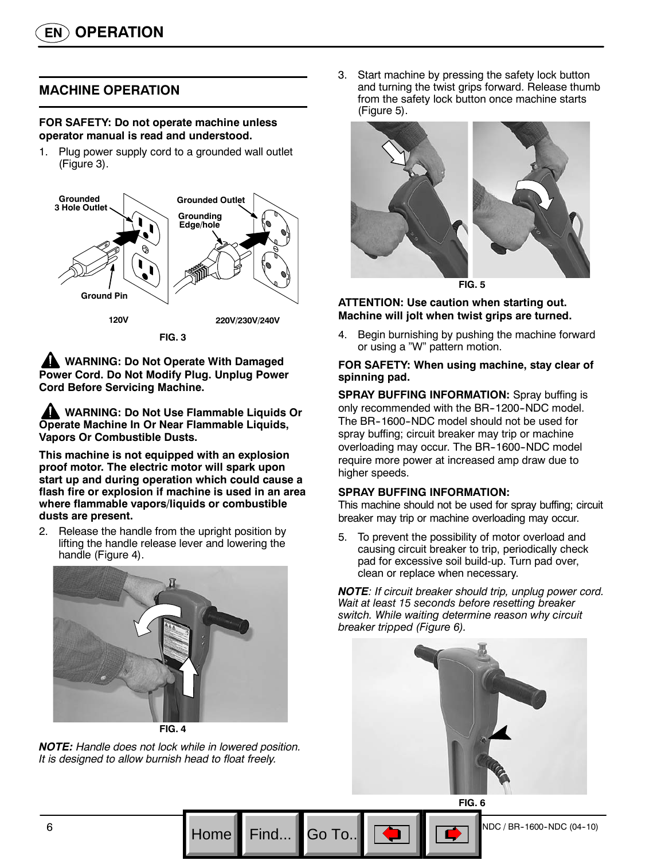# **MACHINE OPERATION**

#### **FOR SAFETY: Do not operate machine unless operator manual is read and understood.**

1. Plug power supply cord to a grounded wall outlet (Figure 3).



**FIG. 3**

**AND WARNING: Do Not Operate With Damaged Power Cord. Do Not Modify Plug. Unplug Power Cord Before Servicing Machine.**

**WARNING: Do Not Use Flammable Liquids Or Operate Machine In Or Near Flammable Liquids, Vapors Or Combustible Dusts.**

**This machine is not equipped with an explosion proof motor. The electric motor will spark upon start up and during operation which could cause a flash fire or explosion if machine is used in an area where flammable vapors/liquids or combustible dusts are present.**

2. Release the handle from the upright position by lifting the handle release lever and lowering the handle (Figure 4).



*NOTE: Handle does not lock while in lowered position. It is designed to allow burnish head to float freely.*

3. Start machine by pressing the safety lock button and turning the twist grips forward. Release thumb from the safety lock button once machine starts (Figure 5).



**FIG. 5**

#### **ATTENTION: Use caution when starting out. Machine will jolt when twist grips are turned.**

4. Begin burnishing by pushing the machine forward or using a "W" pattern motion.

#### **FOR SAFETY: When using machine, stay clear of spinning pad.**

**SPRAY BUFFING INFORMATION:** Spray buffing is only recommended with the BR-1200-NDC model. The BR--1600--NDC model should not be used for spray buffing; circuit breaker may trip or machine overloading may occur. The BR-1600-NDC model require more power at increased amp draw due to higher speeds.

#### **SPRAY BUFFING INFORMATION:**

This machine should not be used for spray buffing; circuit breaker may trip or machine overloading may occur.

5. To prevent the possibility of motor overload and causing circuit breaker to trip, periodically check pad for excessive soil build-up. Turn pad over, clean or replace when necessary.

*NOTE: If circuit breaker should trip, unplug power cord. Wait at least 15 seconds before resetting breaker switch. While waiting determine reason why circuit breaker tripped (Figure 6).*



**FIG. 6**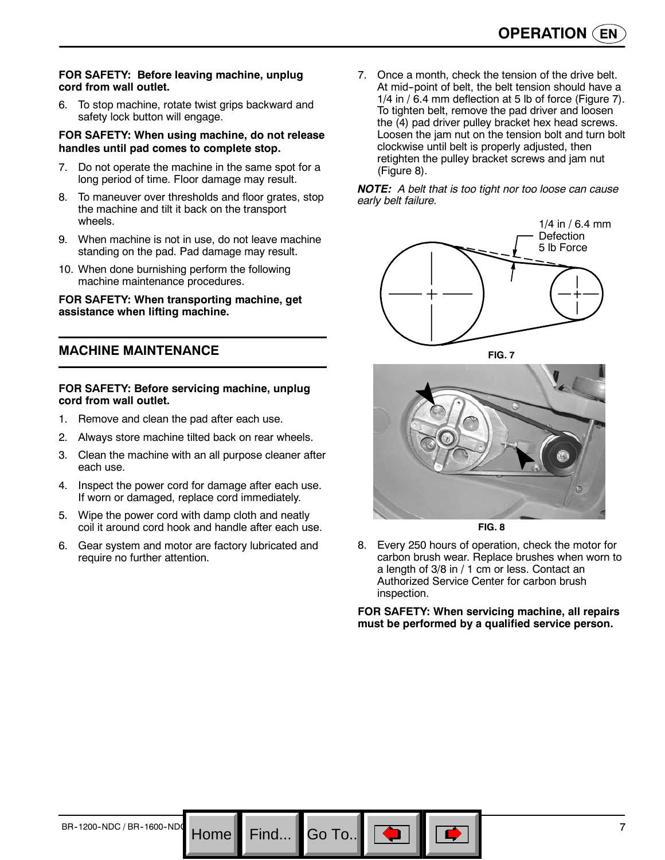#### **FOR SAFETY: Before leaving machine, unplug cord from wall outlet.**

6. To stop machine, rotate twist grips backward and safety lock button will engage.

#### **FOR SAFETY: When using machine, do not release handles until pad comes to complete stop.**

- 7. Do not operate the machine in the same spot for a long period of time. Floor damage may result.
- 8. To maneuver over thresholds and floor grates, stop the machine and tilt it back on the transport wheels.
- 9. When machine is not in use, do not leave machine standing on the pad. Pad damage may result.
- 10. When done burnishing perform the following machine maintenance procedures.

#### **FOR SAFETY: When transporting machine, get assistance when lifting machine.**

#### **MACHINE MAINTENANCE**

#### **FOR SAFETY: Before servicing machine, unplug cord from wall outlet.**

- 1. Remove and clean the pad after each use.
- 2. Always store machine tilted back on rear wheels.
- 3. Clean the machine with an all purpose cleaner after each use.
- 4. Inspect the power cord for damage after each use. If worn or damaged, replace cord immediately.
- 5. Wipe the power cord with damp cloth and neatly coil it around cord hook and handle after each use.
- 6. Gear system and motor are factory lubricated and require no further attention.

Go To.

7. Once a month, check the tension of the drive belt. At mid--point of belt, the belt tension should have a 1/4 in / 6.4 mm deflection at 5 lb of force (Figure 7). To tighten belt, remove the pad driver and loosen the (4) pad driver pulley bracket hex head screws. Loosen the jam nut on the tension bolt and turn bolt clockwise until belt is properly adjusted, then retighten the pulley bracket screws and jam nut (Figure 8).

#### *NOTE: A belt that is too tight nor too loose can cause early belt failure.*





**FIG. 8**

8. Every 250 hours of operation, check the motor for carbon brush wear. Replace brushes when worn to a length of 3/8 in / 1 cm or less. Contact an Authorized Service Center for carbon brush inspection.

**FOR SAFETY: When servicing machine, all repairs must be performed by a qualified service person.**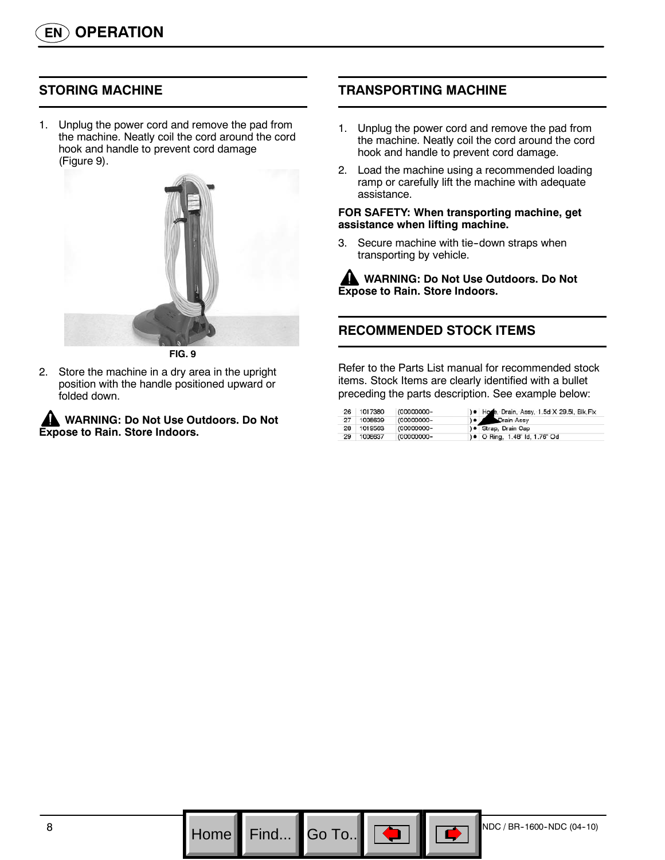## **STORING MACHINE**

1. Unplug the power cord and remove the pad from the machine. Neatly coil the cord around the cord hook and handle to prevent cord damage (Figure 9).



**FIG. 9**

2. Store the machine in a dry area in the upright position with the handle positioned upward or folded down.

**WARNING: Do Not Use Outdoors. Do Not Expose to Rain. Store Indoors.**

### **TRANSPORTING MACHINE**

- 1. Unplug the power cord and remove the pad from the machine. Neatly coil the cord around the cord hook and handle to prevent cord damage.
- 2. Load the machine using a recommended loading ramp or carefully lift the machine with adequate assistance.

#### **FOR SAFETY: When transporting machine, get assistance when lifting machine.**

3. Secure machine with tie-down straps when transporting by vehicle.

**WARNING: Do Not Use Outdoors. Do Not Expose to Rain. Store Indoors.**

# **RECOMMENDED STOCK ITEMS**

Refer to the Parts List manual for recommended stock items. Stock Items are clearly identified with a bullet preceding the parts description. See example below:

|    | 26 1017380 | (00000000- | ) Hose, Drain, Assy, 1.5d X 29.5l, Blk, Flx |
|----|------------|------------|---------------------------------------------|
|    | 27 1008639 | (00000000- | e<br>Drain Assy                             |
|    | 28 1019563 | (00000000- | ) · Strap, Drain Cap                        |
| 29 | 1008637    | (00000000- | () ● O Ring, 1.48" Id, 1.76" Od             |



Go To.. $\parallel$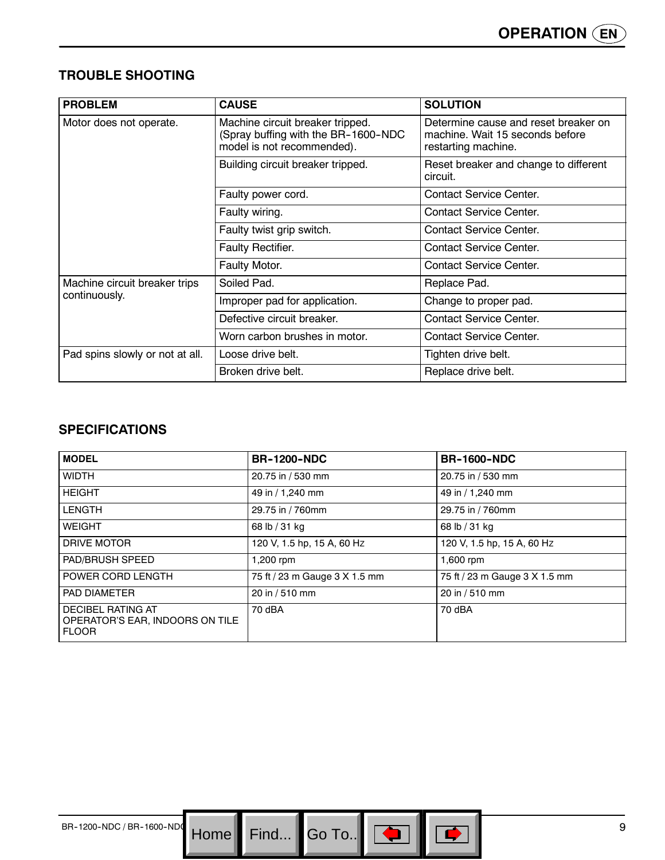# **TROUBLE SHOOTING**

| <b>PROBLEM</b>                  | <b>CAUSE</b>                                                                                          | <b>SOLUTION</b>                                                                                |
|---------------------------------|-------------------------------------------------------------------------------------------------------|------------------------------------------------------------------------------------------------|
| Motor does not operate.         | Machine circuit breaker tripped.<br>(Spray buffing with the BR-1600-NDC<br>model is not recommended). | Determine cause and reset breaker on<br>machine. Wait 15 seconds before<br>restarting machine. |
|                                 | Building circuit breaker tripped.                                                                     | Reset breaker and change to different<br>circuit.                                              |
|                                 | Faulty power cord.                                                                                    | <b>Contact Service Center.</b>                                                                 |
|                                 | Faulty wiring.                                                                                        | Contact Service Center.                                                                        |
|                                 | Faulty twist grip switch.                                                                             | Contact Service Center.                                                                        |
|                                 | Faulty Rectifier.                                                                                     | <b>Contact Service Center.</b>                                                                 |
|                                 | Faulty Motor.                                                                                         | <b>Contact Service Center.</b>                                                                 |
| Machine circuit breaker trips   | Soiled Pad.                                                                                           | Replace Pad.                                                                                   |
| continuously.                   | Improper pad for application.                                                                         | Change to proper pad.                                                                          |
|                                 | Defective circuit breaker.                                                                            | <b>Contact Service Center.</b>                                                                 |
|                                 | Worn carbon brushes in motor.                                                                         | Contact Service Center.                                                                        |
| Pad spins slowly or not at all. | Loose drive belt.                                                                                     | Tighten drive belt.                                                                            |
|                                 | Broken drive belt.                                                                                    | Replace drive belt.                                                                            |

# **SPECIFICATIONS**

| <b>MODEL</b>                                                                | <b>BR-1200-NDC</b>            | <b>BR-1600-NDC</b>            |
|-----------------------------------------------------------------------------|-------------------------------|-------------------------------|
| <b>WIDTH</b>                                                                | 20.75 in / 530 mm             | 20.75 in / 530 mm             |
| <b>HEIGHT</b>                                                               | 49 in / 1,240 mm              | 49 in / 1,240 mm              |
| <b>LENGTH</b>                                                               | 29.75 in / 760mm              | 29.75 in / 760mm              |
| <b>WEIGHT</b>                                                               | 68 lb / 31 kg                 | 68 lb / 31 kg                 |
| DRIVE MOTOR                                                                 | 120 V, 1.5 hp, 15 A, 60 Hz    | 120 V, 1.5 hp, 15 A, 60 Hz    |
| <b>PAD/BRUSH SPEED</b>                                                      | 1,200 rpm                     | 1,600 rpm                     |
| POWER CORD LENGTH                                                           | 75 ft / 23 m Gauge 3 X 1.5 mm | 75 ft / 23 m Gauge 3 X 1.5 mm |
| <b>PAD DIAMETER</b>                                                         | 20 in / 510 mm                | 20 in / 510 mm                |
| <b>DECIBEL RATING AT</b><br>OPERATOR'S EAR, INDOORS ON TILE<br><b>FLOOR</b> | 70 dBA                        | 70 dBA                        |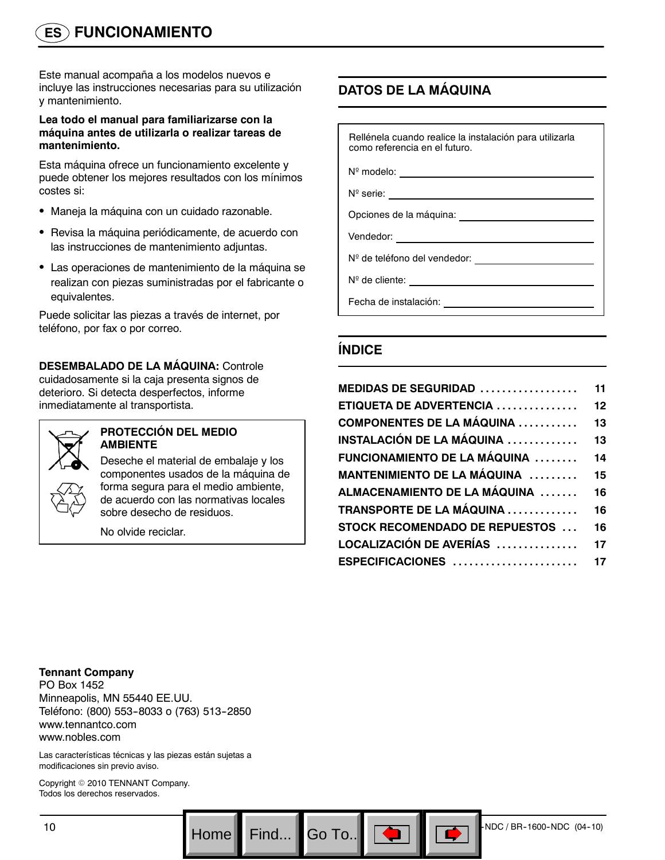# **ES FUNCIONAMIENTO**

Este manual acompaña a los modelos nuevos e incluye las instrucciones necesarias para su utilización y mantenimiento.

#### **Lea todo el manual para familiarizarse con la máquina antes de utilizarla o realizar tareas de mantenimiento.**

Esta máquina ofrece un funcionamiento excelente y puede obtener los mejores resultados con los mínimos costes si:

- Maneja la máquina con un cuidado razonable.
- Revisa la máquina periódicamente, de acuerdo con las instrucciones de mantenimiento adjuntas.
- Las operaciones de mantenimiento de la máquina se realizan con piezas suministradas por el fabricante o equivalentes.

Puede solicitar las piezas a través de internet, por teléfono, por fax o por correo.

#### **DESEMBALADO DE LA MÁQUINA:** Controle cuidadosamente si la caja presenta signos de deterioro. Si detecta desperfectos, informe inmediatamente al transportista.



#### **PROTECCIÓN DEL MEDIO AMBIENTE**

Deseche el material de embalaje y los componentes usados de la máquina de forma segura para el medio ambiente, de acuerdo con las normativas locales sobre desecho de residuos.

No olvide reciclar.

# **DATOS DE LA MÁQUINA**

| Rellénela cuando realice la instalación para utilizarla<br>como referencia en el futuro. |
|------------------------------------------------------------------------------------------|
|                                                                                          |
| $N^{\circ}$ serie: $\qquad \qquad$                                                       |
|                                                                                          |
| Vendedor: <u>____________________</u>                                                    |
| Nº de teléfono del vendedor:                                                             |
| $N^{\circ}$ de cliente:                                                                  |
| Fecha de instalación:                                                                    |

# **ÍNDICE**

 $Go$  To..

| <b>MEDIDAS DE SEGURIDAD</b>            | 11 |
|----------------------------------------|----|
| <b>ETIQUETA DE ADVERTENCIA </b>        | 12 |
| <b>COMPONENTES DE LA MÁQUINA</b>       | 13 |
| INSTALACIÓN DE LA MÁQUINA ……………        | 13 |
| FUNCIONAMIENTO DE LA MÁQUINA           | 14 |
| MANTENIMIENTO DE LA MÁQUINA            | 15 |
| ALMACENAMIENTO DE LA MÁQUINA           | 16 |
| <b>TRANSPORTE DE LA MÁQUINA</b>        | 16 |
| <b>STOCK RECOMENDADO DE REPUESTOS </b> | 16 |
| LOCALIZACIÓN DE AVERÍAS                | 17 |
| ESPECIFICACIONES                       | 17 |
|                                        |    |

**Tennant Company** PO Box 1452 Minneapolis, MN 55440 EE.UU. Teléfono: (800) 553--8033 o (763) 513--2850 www.tennantco.com www.nobles.com

Las características técnicas y las piezas están sujetas a modificaciones sin previo aviso.

Copyright © 2010 TENNANT Company. Todos los derechos reservados.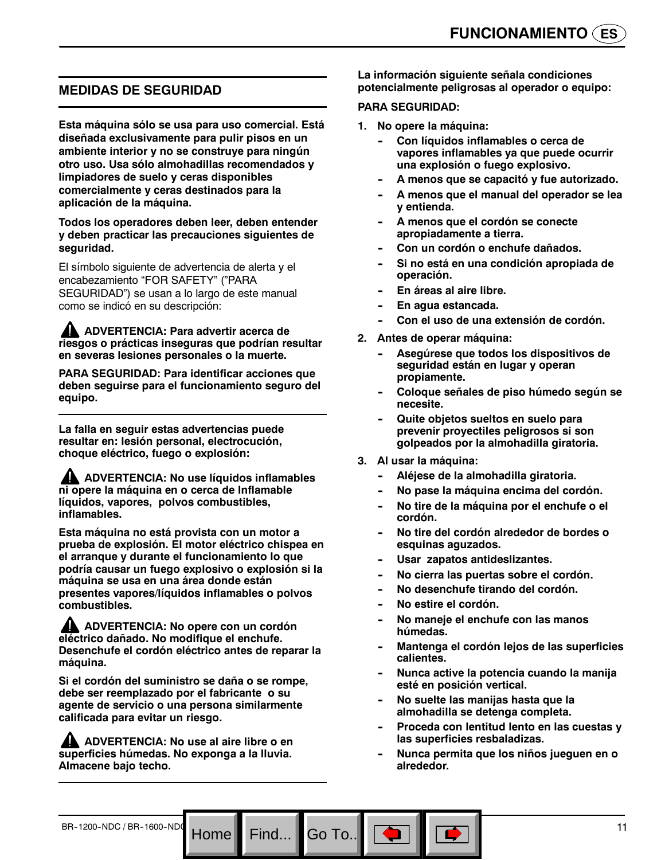### **MEDIDAS DE SEGURIDAD**

**Esta máquina sólo se usa para uso comercial. Está diseñada exclusivamente para pulir pisos en un ambiente interior y no se construye para ningún otro uso. Usa sólo almohadillas recomendados y limpiadores de suelo y ceras disponibles comercialmente y ceras destinados para la aplicación de la máquina.**

**Todos los operadores deben leer, deben entender y deben practicar las precauciones siguientes de seguridad.**

El símbolo siguiente de advertencia de alerta y el encabezamiento "FOR SAFETY" ("PARA SEGURIDAD") se usan a lo largo de este manual como se indicó en su descripción:

**ADVERTENCIA: Para advertir acerca de riesgos o prácticas inseguras que podrían resultar en severas lesiones personales o la muerte.**

**PARA SEGURIDAD: Para identificar acciones que deben seguirse para el funcionamiento seguro del equipo.**

**La falla en seguir estas advertencias puede resultar en: lesión personal, electrocución, choque eléctrico, fuego o explosión:**

**ADVERTENCIA: No use líquidos inflamables ni opere la máquina en o cerca de Inflamable líquidos, vapores, polvos combustibles, inflamables.**

**Esta máquina no está provista con un motor a prueba de explosión. El motor eléctrico chispea en el arranque y durante el funcionamiento lo que podría causar un fuego explosivo o explosión si la máquina se usa en una área donde están presentes vapores/líquidos inflamables o polvos combustibles.**

**ADVERTENCIA: No opere con un cordón eléctrico dañado. No modifique el enchufe. Desenchufe el cordón eléctrico antes de reparar la máquina.**

**Si el cordón del suministro se daña o se rompe, debe ser reemplazado por el fabricante o su agente de servicio o una persona similarmente calificada para evitar un riesgo.**

**ADVERTENCIA: No use al aire libre o en superficies húmedas. No exponga a la lluvia. Almacene bajo techo.**

**La información siguiente señala condiciones potencialmente peligrosas al operador o equipo:**

#### **PARA SEGURIDAD:**

- **1. No opere la máquina:**
	- **Con líquidos inflamables o cerca de vapores inflamables ya que puede ocurrir una explosión o fuego explosivo.**
	- A menos que se capacitó y fue autorizado.
	- **-- A menos que el manual del operador se lea y entienda.**
	- A menos que el cordón se conecte **apropiadamente a tierra.**
	- Con un cordón o enchufe dañados.
	- **-- Si no está en una condición apropiada de operación.**
	- **En áreas al aire libre.**
	- En agua estancada.
	- Con el uso de una extensión de cordón.
- **2. Antes de operar máquina:**
	- Asegúrese que todos los dispositivos de **seguridad están en lugar y operan propiamente.**
	- Coloque señales de piso húmedo según se **necesite.**
	- **Quite objetos sueltos en suelo para prevenir proyectiles peligrosos si son golpeados por la almohadilla giratoria.**
- **3. Al usar la máquina:**
	- Aléjese de la almohadilla giratoria.
	- **-- No pase la máquina encima del cordón.**
	- **-- No tire de la máquina por el enchufe o el cordón.**
	- **-- No tire del cordón alrededor de bordes o esquinas aguzados.**
	- Usar zapatos antideslizantes.
	- No cierra las puertas sobre el cordón.
	- No desenchufe tirando del cordón.
	- No estire el cordón.

- **-- No maneje el enchufe con las manos húmedas.**
- **-- Mantenga el cordón lejos de las superficies calientes.**
- **-- Nunca active la potencia cuando la manija esté en posición vertical.**
- **No suelte las manijas hasta que la almohadilla se detenga completa.**
- Proceda con lentitud lento en las cuestas y **las superficies resbaladizas.**
- **-- Nunca permita que los niños jueguen en o alrededor.**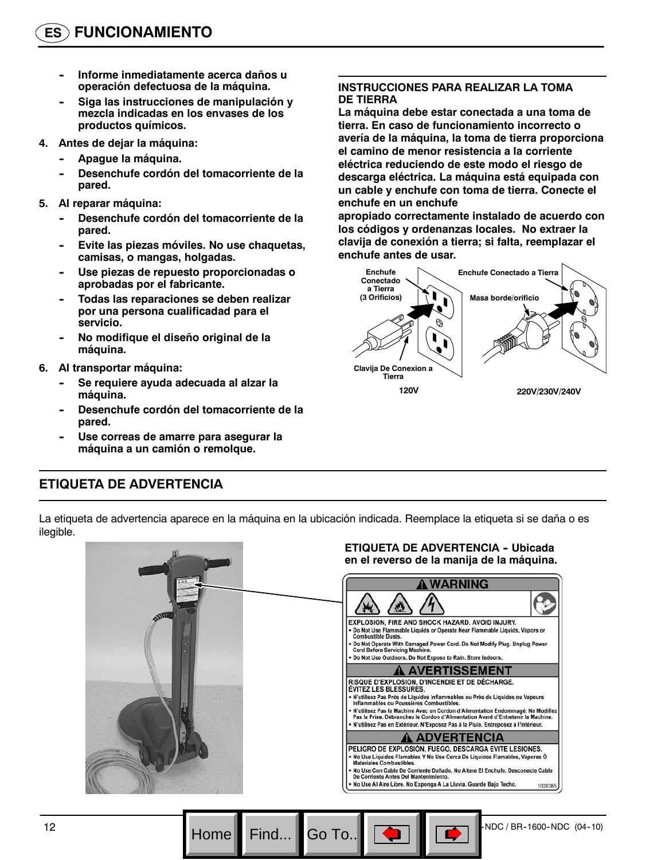- **Informe inmediatamente acerca daños u operación defectuosa de la máquina.**
- Siga las instrucciones de manipulación y **mezcla indicadas en los envases de los productos químicos.**
- **4. Antes de dejar la máquina:**
	- Apague la máquina.
	- Desenchufe cordón del tomacorriente de la **pared.**
- **5. Al reparar máquina:**
	- Desenchufe cordón del tomacorriente de la **pared.**
	- Evite las piezas móviles. No use chaquetas, **camisas, o mangas, holgadas.**
	- Use piezas de repuesto proporcionadas o **aprobadas por el fabricante.**
	- Todas las reparaciones se deben realizar **por una persona cualificadad para el servicio.**
	- No modifique el diseño original de la **máquina.**
- **6. Al transportar máquina:**
	- Se requiere ayuda adecuada al alzar la **máquina.**
	- Desenchufe cordón del tomacorriente de la **pared.**
	- Use correas de amarre para asegurar la **máquina a un camión o remolque.**

#### **INSTRUCCIONES PARA REALIZAR LA TOMA DE TIERRA**

**La máquina debe estar conectada a una toma de tierra. En caso de funcionamiento incorrecto o avería de la máquina, la toma de tierra proporciona el camino de menor resistencia a la corriente eléctrica reduciendo de este modo el riesgo de descarga eléctrica. La máquina está equipada con un cable y enchufe con toma de tierra. Conecte el enchufe en un enchufe**

**apropiado correctamente instalado de acuerdo con los códigos y ordenanzas locales. No extraer la clavija de conexión a tierra; si falta, reemplazar el enchufe antes de usar.**



# **ETIQUETA DE ADVERTENCIA**

La etiqueta de advertencia aparece en la máquina en la ubicación indicada. Reemplace la etiqueta si se daña o es ilegible.

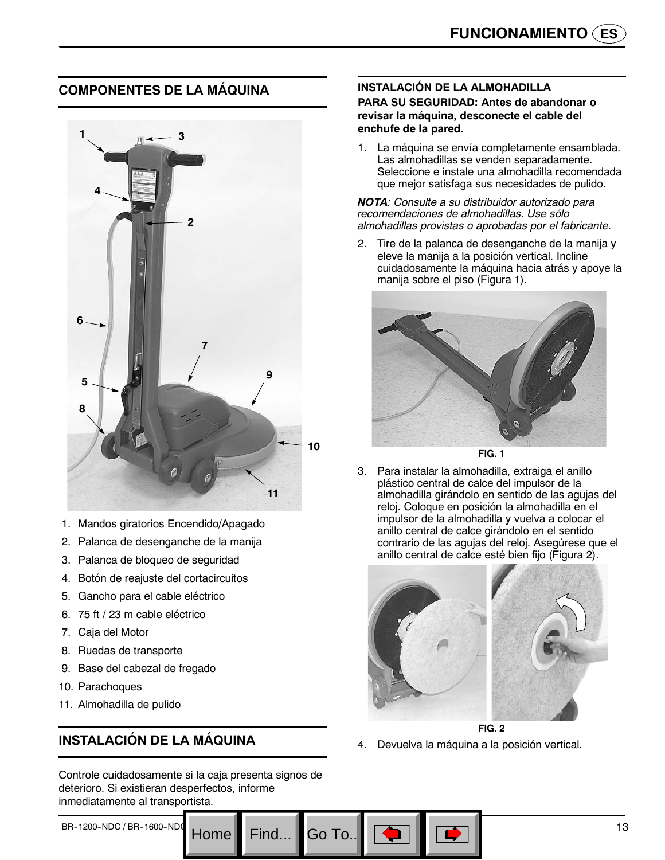# **COMPONENTES DE LA MÁQUINA**



- 1. Mandos giratorios Encendido/Apagado
- 2. Palanca de desenganche de la manija
- 3. Palanca de bloqueo de seguridad
- 4. Botón de reajuste del cortacircuitos
- 5. Gancho para el cable eléctrico
- 6. 75 ft / 23 m cable eléctrico
- 7. Caja del Motor
- 8. Ruedas de transporte
- 9. Base del cabezal de fregado
- 10. Parachoques
- 11. Almohadilla de pulido

# **INSTALACIÓN DE LA MÁQUINA**

Controle cuidadosamente si la caja presenta signos de deterioro. Si existieran desperfectos, informe inmediatamente al transportista.

Go To.

# **INSTALACIÓN DE LA ALMOHADILLA**

**PARA SU SEGURIDAD: Antes de abandonar o revisar la máquina, desconecte el cable del enchufe de la pared.**

1. La máquina se envía completamente ensamblada. Las almohadillas se venden separadamente. Seleccione e instale una almohadilla recomendada que mejor satisfaga sus necesidades de pulido.

#### *NOTA: Consulte a su distribuidor autorizado para recomendaciones de almohadillas. Use sólo almohadillas provistas o aprobadas por el fabricante.*

2. Tire de la palanca de desenganche de la manija y eleve la manija a la posición vertical. Incline cuidadosamente la máquina hacia atrás y apoye la manija sobre el piso (Figura 1).



**FIG. 1**

3. Para instalar la almohadilla, extraiga el anillo plástico central de calce del impulsor de la almohadilla girándolo en sentido de las agujas del reloj. Coloque en posición la almohadilla en el impulsor de la almohadilla y vuelva a colocar el anillo central de calce girándolo en el sentido contrario de las agujas del reloj. Asegúrese que el anillo central de calce esté bien fijo (Figura 2).



**FIG. 2** 4. Devuelva la máquina a la posición vertical.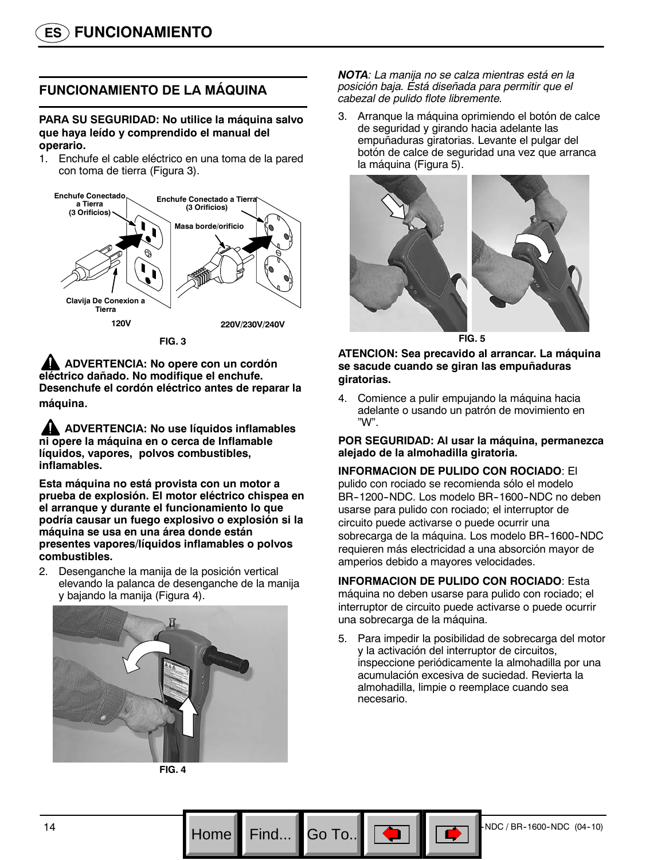# **FUNCIONAMIENTO DE LA MÁQUINA**

**PARA SU SEGURIDAD: No utilice la máquina salvo que haya leído y comprendido el manual del operario.**

1. Enchufe el cable eléctrico en una toma de la pared con toma de tierra (Figura 3).



**FIG. 3**

**ADVERTENCIA: No opere con un cordón eléctrico dañado. No modifique el enchufe. Desenchufe el cordón eléctrico antes de reparar la máquina**.

**ADVERTENCIA: No use líquidos inflamables ni opere la máquina en o cerca de Inflamable líquidos, vapores, polvos combustibles, inflamables.**

**Esta máquina no está provista con un motor a prueba de explosión. El motor eléctrico chispea en el arranque y durante el funcionamiento lo que podría causar un fuego explosivo o explosión si la máquina se usa en una área donde están presentes vapores/líquidos inflamables o polvos combustibles.**

2. Desenganche la manija de la posición vertical elevando la palanca de desenganche de la manija y bajando la manija (Figura 4).



**FIG. 4**

Go To.

*NOTA: La manija no se calza mientras está en la posición baja. Está diseñada para permitir que el cabezal de pulido flote libremente.*

3. Arranque la máquina oprimiendo el botón de calce de seguridad y girando hacia adelante las empuñaduras giratorias. Levante el pulgar del botón de calce de seguridad una vez que arranca la máquina (Figura 5).



**FIG. 5**

**ATENCION: Sea precavido al arrancar. La máquina se sacude cuando se giran las empuñaduras giratorias.**

4. Comience a pulir empujando la máquina hacia adelante o usando un patrón de movimiento en "W".

#### **POR SEGURIDAD: Al usar la máquina, permanezca alejado de la almohadilla giratoria.**

#### **INFORMACION DE PULIDO CON ROCIADO**: El

pulido con rociado se recomienda sólo el modelo BR-1200-NDC. Los modelo BR-1600-NDC no deben usarse para pulido con rociado; el interruptor de circuito puede activarse o puede ocurrir una sobrecarga de la máquina. Los modelo BR-1600-NDC requieren más electricidad a una absorción mayor de amperios debido a mayores velocidades.

#### **INFORMACION DE PULIDO CON ROCIADO**: Esta

máquina no deben usarse para pulido con rociado; el interruptor de circuito puede activarse o puede ocurrir una sobrecarga de la máquina.

5. Para impedir la posibilidad de sobrecarga del motor y la activación del interruptor de circuitos, inspeccione periódicamente la almohadilla por una acumulación excesiva de suciedad. Revierta la almohadilla, limpie o reemplace cuando sea necesario.

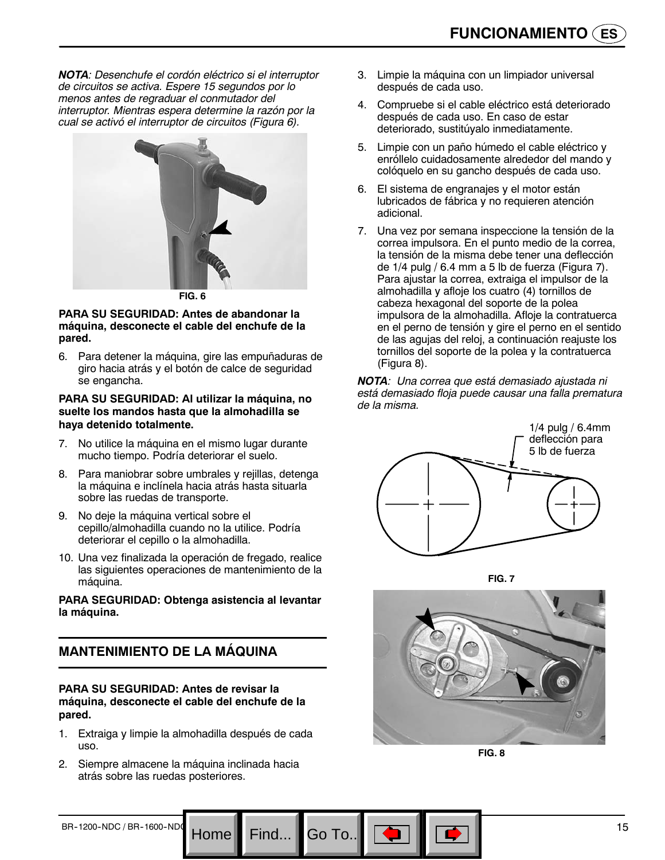*NOTA: Desenchufe el cordón eléctrico si el interruptor de circuitos se activa. Espere 15 segundos por lo menos antes de regraduar el conmutador del interruptor. Mientras espera determine la razón por la cual se activó el interruptor de circuitos (Figura 6).*



**FIG. 6**

#### **PARA SU SEGURIDAD: Antes de abandonar la máquina, desconecte el cable del enchufe de la pared.**

6. Para detener la máquina, gire las empuñaduras de giro hacia atrás y el botón de calce de seguridad se engancha.

#### **PARA SU SEGURIDAD: Al utilizar la máquina, no suelte los mandos hasta que la almohadilla se haya detenido totalmente.**

- 7. No utilice la máquina en el mismo lugar durante mucho tiempo. Podría deteriorar el suelo.
- 8. Para maniobrar sobre umbrales y rejillas, detenga la máquina e inclínela hacia atrás hasta situarla sobre las ruedas de transporte.
- 9. No deje la máquina vertical sobre el cepillo/almohadilla cuando no la utilice. Podría deteriorar el cepillo o la almohadilla.
- 10. Una vez finalizada la operación de fregado, realice las siguientes operaciones de mantenimiento de la máquina.

#### **PARA SEGURIDAD: Obtenga asistencia al levantar la máquina.**

# **MANTENIMIENTO DE LA MÁQUINA**

#### **PARA SU SEGURIDAD: Antes de revisar la máquina, desconecte el cable del enchufe de la pared.**

1. Extraiga y limpie la almohadilla después de cada uso.

Home

2. Siempre almacene la máquina inclinada hacia atrás sobre las ruedas posteriores.

- 3. Limpie la máquina con un limpiador universal después de cada uso.
- 4. Compruebe si el cable eléctrico está deteriorado después de cada uso. En caso de estar deteriorado, sustitúyalo inmediatamente.
- 5. Limpie con un paño húmedo el cable eléctrico y enróllelo cuidadosamente alrededor del mando y colóquelo en su gancho después de cada uso.
- 6. El sistema de engranajes y el motor están lubricados de fábrica y no requieren atención adicional.
- 7. Una vez por semana inspeccione la tensión de la correa impulsora. En el punto medio de la correa, la tensión de la misma debe tener una deflección de 1/4 pulg / 6.4 mm a 5 lb de fuerza (Figura 7). Para ajustar la correa, extraiga el impulsor de la almohadilla y afloje los cuatro (4) tornillos de cabeza hexagonal del soporte de la polea impulsora de la almohadilla. Afloje la contratuerca en el perno de tensión y gire el perno en el sentido de las agujas del reloj, a continuación reajuste los tornillos del soporte de la polea y la contratuerca (Figura 8).

*NOTA: Una correa que está demasiado ajustada ni está demasiado floja puede causar una falla prematura de la misma.*







**FIG. 8**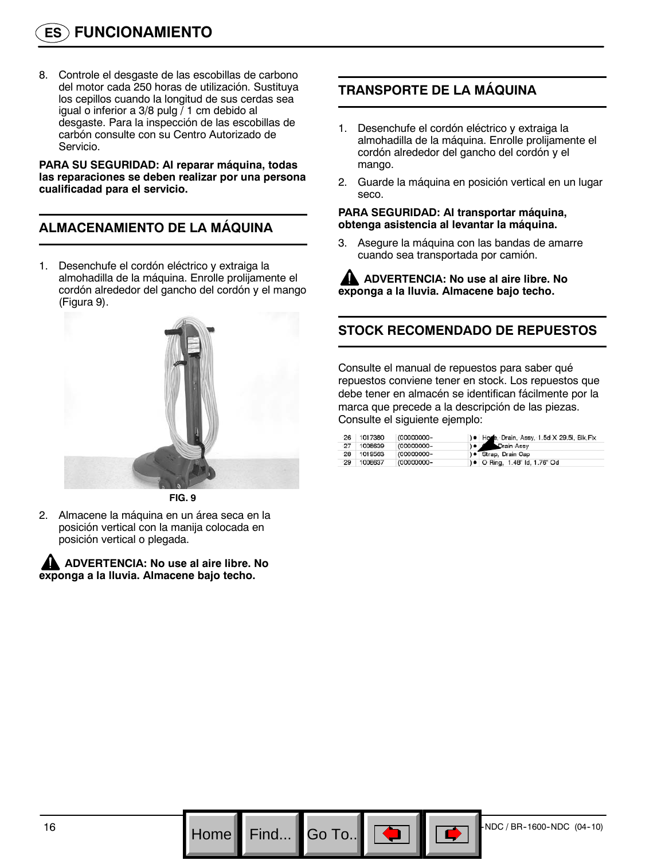8. Controle el desgaste de las escobillas de carbono del motor cada 250 horas de utilización. Sustituya los cepillos cuando la longitud de sus cerdas sea igual o inferior a 3/8 pulg / 1 cm debido al desgaste. Para la inspección de las escobillas de carbón consulte con su Centro Autorizado de Servicio.

**PARA SU SEGURIDAD: Al reparar máquina, todas las reparaciones se deben realizar por una persona cualificadad para el servicio.**

# **ALMACENAMIENTO DE LA MÁQUINA**

1. Desenchufe el cordón eléctrico y extraiga la almohadilla de la máquina. Enrolle prolijamente el cordón alrededor del gancho del cordón y el mango (Figura 9).



**FIG. 9**

2. Almacene la máquina en un área seca en la posición vertical con la manija colocada en posición vertical o plegada.

**ADVERTENCIA: No use al aire libre. No exponga a la lluvia. Almacene bajo techo.**

# **TRANSPORTE DE LA MÁQUINA**

- 1. Desenchufe el cordón eléctrico y extraiga la almohadilla de la máquina. Enrolle prolijamente el cordón alrededor del gancho del cordón y el mango.
- 2. Guarde la máquina en posición vertical en un lugar seco.

#### **PARA SEGURIDAD: Al transportar máquina, obtenga asistencia al levantar la máquina.**

3. Asegure la máquina con las bandas de amarre cuando sea transportada por camión.

**ADVERTENCIA: No use al aire libre. No exponga a la lluvia. Almacene bajo techo.**

# **STOCK RECOMENDADO DE REPUESTOS**

Consulte el manual de repuestos para saber qué repuestos conviene tener en stock. Los repuestos que debe tener en almacén se identifican fácilmente por la marca que precede a la descripción de las piezas. Consulte el siguiente ejemplo:

| 26 | 1017380    | (00000000- | ) . Hose, Drain, Assy, 1.5d X 29.5l, Blk, Flx |
|----|------------|------------|-----------------------------------------------|
| 27 | 1008639    | (00000000- | <b>C</b> Drain Assy                           |
|    | 28 1019563 | (00000000- | ) ● Strap, Drain Cap                          |
| 29 | 1008637    | (00000000- | ) • O Ring, 1.48" Id, 1.76" Od                |

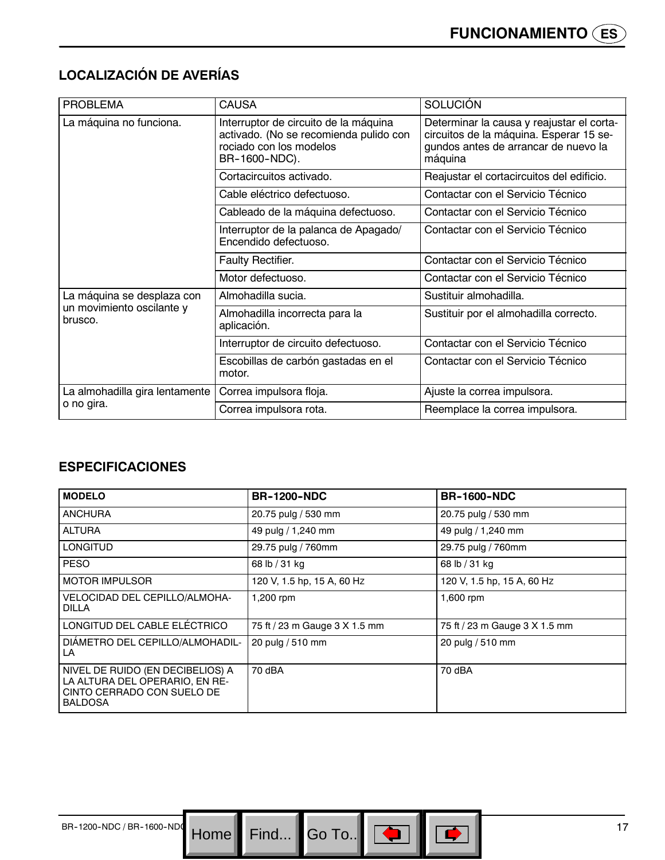# **LOCALIZACIÓN DE AVERÍAS**

| <b>PROBLEMA</b>                      | <b>CAUSA</b>                                                                                                                | <b>SOLUCIÓN</b>                                                                                                                         |
|--------------------------------------|-----------------------------------------------------------------------------------------------------------------------------|-----------------------------------------------------------------------------------------------------------------------------------------|
| La máquina no funciona.              | Interruptor de circuito de la máquina<br>activado. (No se recomienda pulido con<br>rociado con los modelos<br>BR-1600-NDC). | Determinar la causa y reajustar el corta-<br>circuitos de la máquina. Esperar 15 se-<br>gundos antes de arrancar de nuevo la<br>máquina |
|                                      | Cortacircuitos activado.                                                                                                    | Reajustar el cortacircuitos del edificio.                                                                                               |
|                                      | Cable eléctrico defectuoso.                                                                                                 | Contactar con el Servicio Técnico                                                                                                       |
|                                      | Cableado de la máquina defectuoso.                                                                                          | Contactar con el Servicio Técnico                                                                                                       |
|                                      | Interruptor de la palanca de Apagado/<br>Encendido defectuoso.                                                              | Contactar con el Servicio Técnico                                                                                                       |
|                                      | <b>Faulty Rectifier.</b>                                                                                                    | Contactar con el Servicio Técnico                                                                                                       |
|                                      | Motor defectuoso.                                                                                                           | Contactar con el Servicio Técnico                                                                                                       |
| La máquina se desplaza con           | Almohadilla sucia.                                                                                                          | Sustituir almohadilla.                                                                                                                  |
| un movimiento oscilante y<br>brusco. | Almohadilla incorrecta para la<br>aplicación.                                                                               | Sustituir por el almohadilla correcto.                                                                                                  |
|                                      | Interruptor de circuito defectuoso.                                                                                         | Contactar con el Servicio Técnico                                                                                                       |
|                                      | Escobillas de carbón gastadas en el<br>motor.                                                                               | Contactar con el Servicio Técnico                                                                                                       |
| La almohadilla gira lentamente       | Correa impulsora floja.                                                                                                     | Ajuste la correa impulsora.                                                                                                             |
| o no gira.                           | Correa impulsora rota.                                                                                                      | Reemplace la correa impulsora.                                                                                                          |

### **ESPECIFICACIONES**

| <b>MODELO</b>                                                                                                      | <b>BR-1200-NDC</b>            | <b>BR-1600-NDC</b>            |
|--------------------------------------------------------------------------------------------------------------------|-------------------------------|-------------------------------|
| <b>ANCHURA</b>                                                                                                     | 20.75 pulg / 530 mm           | 20.75 pulg / 530 mm           |
| <b>ALTURA</b>                                                                                                      | 49 pulg / 1,240 mm            | 49 pulg / 1,240 mm            |
| <b>LONGITUD</b>                                                                                                    | 29.75 pulg / 760mm            | 29.75 pulg / 760mm            |
| <b>PESO</b>                                                                                                        | 68 lb / 31 kg                 | 68 lb / 31 kg                 |
| <b>MOTOR IMPULSOR</b>                                                                                              | 120 V, 1.5 hp, 15 A, 60 Hz    | 120 V, 1.5 hp, 15 A, 60 Hz    |
| VELOCIDAD DEL CEPILLO/ALMOHA-<br>DILLA                                                                             | 1,200 rpm                     | 1,600 rpm                     |
| LONGITUD DEL CABLE ELÉCTRICO                                                                                       | 75 ft / 23 m Gauge 3 X 1.5 mm | 75 ft / 23 m Gauge 3 X 1.5 mm |
| DIAMETRO DEL CEPILLO/ALMOHADIL-<br>LA                                                                              | 20 pulg / 510 mm              | 20 pulg / 510 mm              |
| NIVEL DE RUIDO (EN DECIBELIOS) A<br>LA ALTURA DEL OPERARIO, EN RE-<br>CINTO CERRADO CON SUELO DE<br><b>BALDOSA</b> | 70 dBA                        | 70 dBA                        |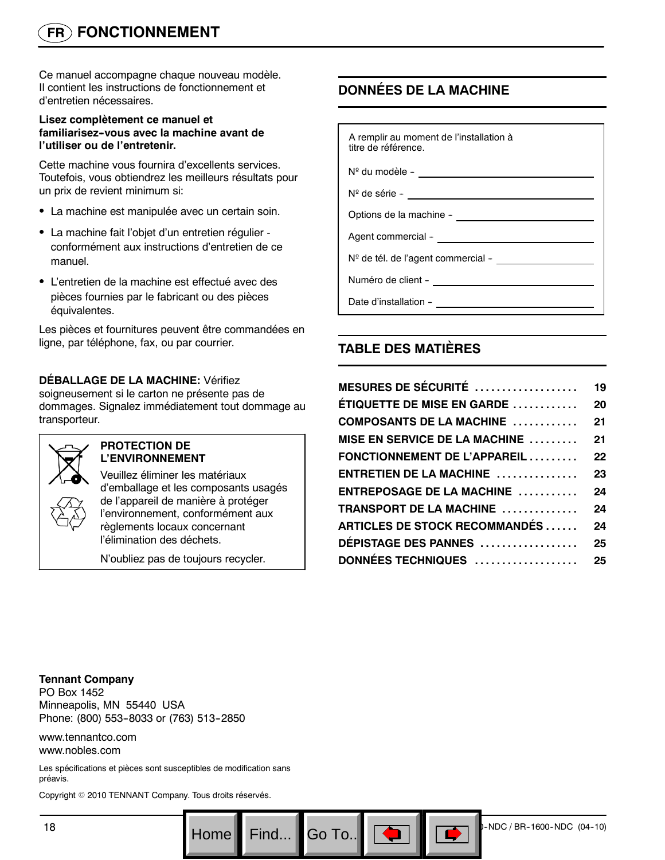# **FR FONCTIONNEMENT**

Ce manuel accompagne chaque nouveau modèle. Il contient les instructions de fonctionnement et d'entretien nécessaires.

#### **Lisez complètement ce manuel et familiarisez--vous avec la machine avant de l'utiliser ou de l'entretenir.**

Cette machine vous fournira d'excellents services. Toutefois, vous obtiendrez les meilleurs résultats pour un prix de revient minimum si:

- La machine est manipulée avec un certain soin.
- La machine fait l'objet d'un entretien régulier conformément aux instructions d'entretien de ce manuel.
- L'entretien de la machine est effectué avec des pièces fournies par le fabricant ou des pièces équivalentes.

Les pièces et fournitures peuvent être commandées en ligne, par téléphone, fax, ou par courrier.

### **DÉBALLAGE DE LA MACHINE:** Vérifiez

soigneusement si le carton ne présente pas de dommages. Signalez immédiatement tout dommage au transporteur.



#### **PROTECTION DE L'ENVIRONNEMENT**

Veuillez éliminer les matériaux d'emballage et les composants usagés de l'appareil de manière à protéger l'environnement, conformément aux règlements locaux concernant l'élimination des déchets.

N'oubliez pas de toujours recycler.

# **DONNÉES DE LA MACHINE**

| A remplir au moment de l'installation à<br>titre de référence.                                                                                                                                                                                 |
|------------------------------------------------------------------------------------------------------------------------------------------------------------------------------------------------------------------------------------------------|
|                                                                                                                                                                                                                                                |
| N <sup>o</sup> de série - <u>_________________________</u>                                                                                                                                                                                     |
| Options de la machine - <u>_______________</u>                                                                                                                                                                                                 |
|                                                                                                                                                                                                                                                |
| N <sup>o</sup> de tél. de l'agent commercial - <b>composité de la contrarcte de la contrarcte de la contrarcte de la contrarcte de la contrarcte de la contrarcte de la contrarcte de la contrarcte de la contrarcte de la contrarcte de l</b> |
|                                                                                                                                                                                                                                                |
| Date d'installation -                                                                                                                                                                                                                          |

# **TABLE DES MATIÈRES**

| <b>MESURES DE SÉCURITÉ <math>\,\dots\,\dots\,\dots\,\dots\,\dots</math></b> | 19 |
|-----------------------------------------------------------------------------|----|
| ÉTIQUETTE DE MISE EN GARDE                                                  | 20 |
| $\sf COMPOSANTS$ DE LA MACHINE $\;\ldots\ldots\ldots\;$                     | 21 |
| MISE EN SERVICE DE LA MACHINE  21                                           |    |
| $\mathsf F\mathsf{ONCTIONNEMENT}$ DE L'APPAREIL $\ldots\ldots\ldots$        | 22 |
| $ENTRETIEN DE LA MACHINE$                                                   | 23 |
| $ENTREPOSAGE$ DE LA MACHINE $\,\ldots\ldots\ldots\,$                        | 24 |
| TRANSPORT DE LA MACHINE                                                     | 24 |
| ARTICLES DE STOCK RECOMMANDÉS                                               | 24 |
| <b>DÉPISTAGE DES PANNES</b>                                                 | 25 |
| <b>DONNÉES TECHNIQUES ......................25</b>                          |    |

**Tennant Company** PO Box 1452 Minneapolis, MN 55440 USA Phone: (800) 553-8033 or (763) 513-2850

www.tennantco.com www.nobles.com

Les spécifications et pièces sont susceptibles de modification sans préavis.

Copyright © 2010 TENNANT Company. Tous droits réservés.

Go To.. $\|$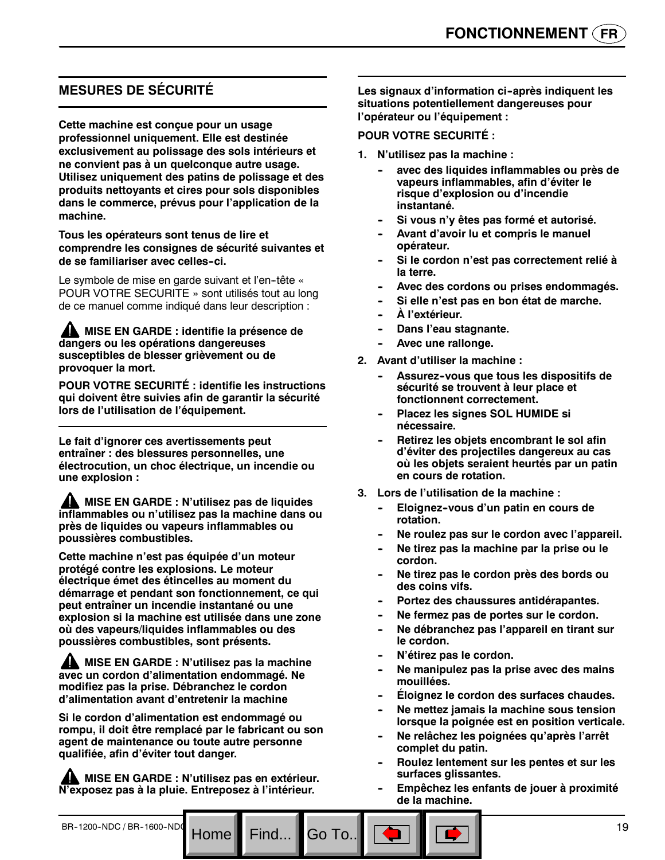# **MESURES DE SÉCURITÉ**

**Cette machine est conçue pour un usage professionnel uniquement. Elle est destinée exclusivement au polissage des sols intérieurs et ne convient pas à un quelconque autre usage. Utilisez uniquement des patins de polissage et des produits nettoyants et cires pour sols disponibles dans le commerce, prévus pour l'application de la machine.**

**Tous les opérateurs sont tenus de lire et comprendre les consignes de sécurité suivantes et de se familiariser avec celles--ci.**

Le symbole de mise en garde suivant et l'en-tête « POUR VOTRE SECURITE » sont utilisés tout au long de ce manuel comme indiqué dans leur description :

**MISE EN GARDE : identifie la présence de dangers ou les opérations dangereuses susceptibles de blesser grièvement ou de provoquer la mort.**

**POUR VOTRE SECURITÉ : identifie les instructions qui doivent être suivies afin de garantir la sécurité lors de l'utilisation de l'équipement.**

**Le fait d'ignorer ces avertissements peut entraîner : des blessures personnelles, une électrocution, un choc électrique, un incendie ou une explosion :**

**MISE EN GARDE : N'utilisez pas de liquides inflammables ou n'utilisez pas la machine dans ou près de liquides ou vapeurs inflammables ou poussières combustibles.**

**Cette machine n'est pas équipée d'un moteur protégé contre les explosions. Le moteur électrique émet des étincelles au moment du démarrage et pendant son fonctionnement, ce qui peut entraîner un incendie instantané ou une explosion si la machine est utilisée dans une zone où des vapeurs/liquides inflammables ou des poussières combustibles, sont présents.**

**MISE EN GARDE : N'utilisez pas la machine avec un cordon d'alimentation endommagé. Ne modifiez pas la prise. Débranchez le cordon d'alimentation avant d'entretenir la machine**

**Si le cordon d'alimentation est endommagé ou rompu, il doit être remplacé par le fabricant ou son agent de maintenance ou toute autre personne qualifiée, afin d'éviter tout danger.**

**MISE EN GARDE : N'utilisez pas en extérieur. N'exposez pas à la pluie. Entreposez à l'intérieur.**

Go To.

Les signaux d'information ci-après indiquent les **situations potentiellement dangereuses pour l'opérateur ou l'équipement :**

#### **POUR VOTRE SECURITÉ :**

- **1. N'utilisez pas la machine :**
	- avec des liquides inflammables ou près de **vapeurs inflammables, afin d'éviter le risque d'explosion ou d'incendie instantané.**
	- Si vous n'y êtes pas formé et autorisé.
	- Avant d'avoir lu et compris le manuel **opérateur.**
	- Si le cordon n'est pas correctement relié à **la terre.**
	- Avec des cordons ou prises endommagés.
	- Si elle n'est pas en bon état de marche.
	- $\hat{A}$  l'extérieur.
	- **Dans l'eau stagnante.**
	- Avec une rallonge.
- **2. Avant d'utiliser la machine :**
	- Assurez-vous que tous les dispositifs de **sécurité se trouvent à leur place et fonctionnent correctement.**
	- **Placez les signes SOL HUMIDE si nécessaire.**
	- **Retirez les objets encombrant le sol afin d'éviter des projectiles dangereux au cas où les objets seraient heurtés par un patin en cours de rotation.**
- **3. Lors de l'utilisation de la machine :**
	- Eloignez-vous d'un patin en cours de **rotation.**
	- Ne roulez pas sur le cordon avec l'appareil.
	- Ne tirez pas la machine par la prise ou le **cordon.**
	- **-- Ne tirez pas le cordon près des bords ou des coins vifs.**
	- Portez des chaussures antidérapantes.
	- Ne fermez pas de portes sur le cordon.
	- **-- Ne débranchez pas l'appareil en tirant sur le cordon.**
	- **N'étirez pas le cordon.**
	- Ne manipulez pas la prise avec des mains **mouillées.**
	- **Éloignez le cordon des surfaces chaudes.**
	- Ne mettez jamais la machine sous tension **lorsque la poignée est en position verticale.**
	- **-- Ne relâchez les poignées qu'après l'arrêt complet du patin.**
	- **-- Roulez lentement sur les pentes et sur les surfaces glissantes.**
	- **-- Empêchez les enfants de jouer à proximité de la machine.**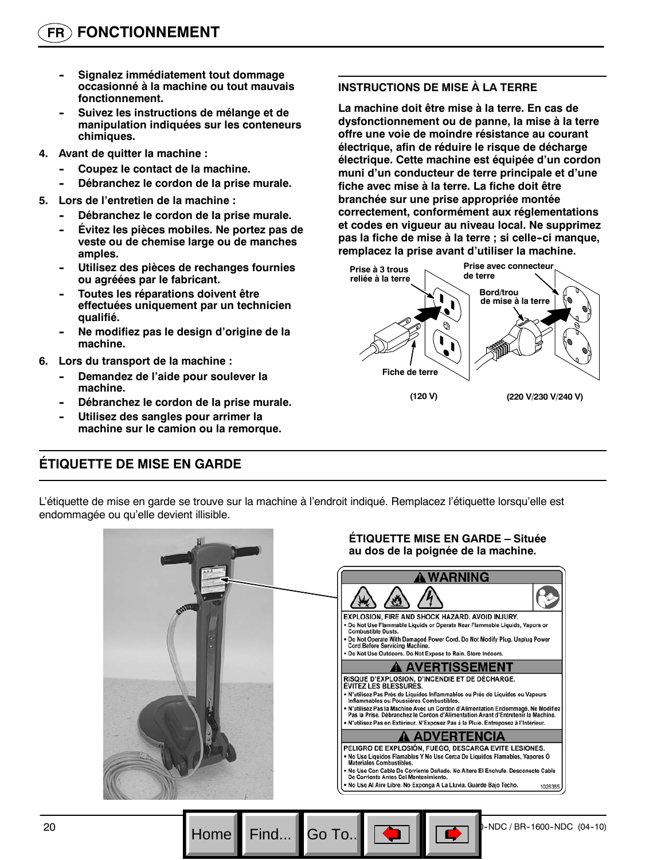- **Signalez immédiatement tout dommage occasionné à la machine ou tout mauvais fonctionnement.**
- Suivez les instructions de mélange et de **manipulation indiquées sur les conteneurs chimiques.**
- **4. Avant de quitter la machine :**
	- Coupez le contact de la machine.
	- Débranchez le cordon de la prise murale.
- **5. Lors de l'entretien de la machine :**
	- Débranchez le cordon de la prise murale.
	- **Évitez les pièces mobiles. Ne portez pas de veste ou de chemise large ou de manches amples.**
	- **-- Utilisez des pièces de rechanges fournies ou agréées par le fabricant.**
	- **Toutes les réparations doivent être effectuées uniquement par un technicien qualifié.**
	- **-- Ne modifiez pas le design d'origine de la machine.**
- **6. Lors du transport de la machine :**
	- **Demandez de l'aide pour soulever la machine.**
	- Débranchez le cordon de la prise murale.
	- **Utilisez des sangles pour arrimer la machine sur le camion ou la remorque.**

#### **INSTRUCTIONS DE MISE À LA TERRE**

**La machine doit être mise à la terre. En cas de dysfonctionnement ou de panne, la mise à la terre offre une voie de moindre résistance au courant électrique, afin de réduire le risque de décharge électrique. Cette machine est équipée d'un cordon muni d'un conducteur de terre principale et d'une fiche avec mise à la terre. La fiche doit être branchée sur une prise appropriée montée correctement, conformément aux réglementations et codes en vigueur au niveau local. Ne supprimez pas la fiche de mise à la terre ; si celle--ci manque, remplacez la prise avant d'utiliser la machine.**



# **ÉTIQUETTE DE MISE EN GARDE**

L'étiquette de mise en garde se trouve sur la machine à l'endroit indiqué. Remplacez l'étiquette lorsqu'elle est endommagée ou qu'elle devient illisible.

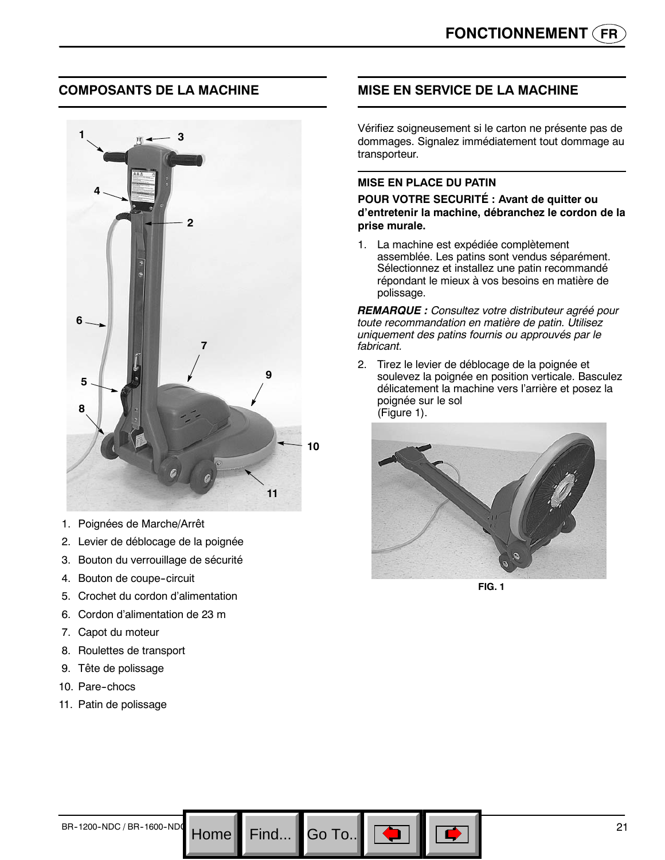### **COMPOSANTS DE LA MACHINE**



- 1. Poignées de Marche/Arrêt
- 2. Levier de déblocage de la poignée
- 3. Bouton du verrouillage de sécurité
- 4. Bouton de coupe-circuit
- 5. Crochet du cordon d'alimentation
- 6. Cordon d'alimentation de 23 m
- 7. Capot du moteur
- 8. Roulettes de transport
- 9. Tête de polissage
- 10. Pare-chocs
- 11. Patin de polissage

# **MISE EN SERVICE DE LA MACHINE**

Vérifiez soigneusement si le carton ne présente pas de dommages. Signalez immédiatement tout dommage au transporteur.

#### **MISE EN PLACE DU PATIN**

**POUR VOTRE SECURITÉ : Avant de quitter ou d'entretenir la machine, débranchez le cordon de la prise murale.**

1. La machine est expédiée complètement assemblée. Les patins sont vendus séparément. Sélectionnez et installez une patin recommandé répondant le mieux à vos besoins en matière de polissage.

*REMARQUE : Consultez votre distributeur agréé pour toute recommandation en matière de patin. Utilisez uniquement des patins fournis ou approuvés par le fabricant.*

2. Tirez le levier de déblocage de la poignée et soulevez la poignée en position verticale. Basculez délicatement la machine vers l'arrière et posez la poignée sur le sol (Figure 1).



**FIG. 1**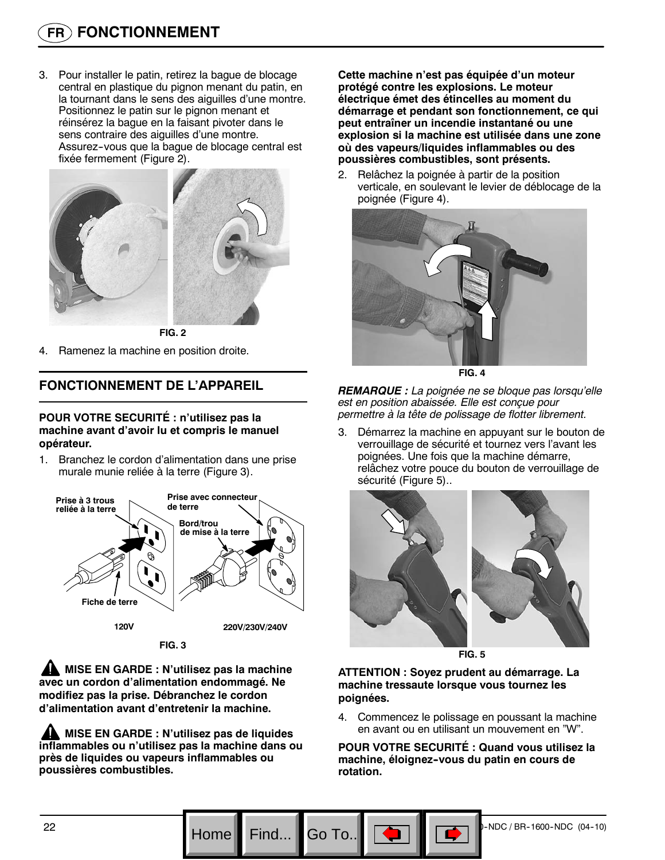3. Pour installer le patin, retirez la bague de blocage central en plastique du pignon menant du patin, en la tournant dans le sens des aiguilles d'une montre. Positionnez le patin sur le pignon menant et réinsérez la bague en la faisant pivoter dans le sens contraire des aiguilles d'une montre. Assurez--vous que la bague de blocage central est fixée fermement (Figure 2).



**FIG. 2**

4. Ramenez la machine en position droite.

### **FONCTIONNEMENT DE L'APPAREIL**

#### **POUR VOTRE SECURITÉ : n'utilisez pas la machine avant d'avoir lu et compris le manuel opérateur.**

1. Branchez le cordon d'alimentation dans une prise murale munie reliée à la terre (Figure 3).



**FIG. 3**

**MISE EN GARDE : N'utilisez pas la machine avec un cordon d'alimentation endommagé. Ne modifiez pas la prise. Débranchez le cordon d'alimentation avant d'entretenir la machine.**

**MISE EN GARDE : N'utilisez pas de liquides inflammables ou n'utilisez pas la machine dans ou près de liquides ou vapeurs inflammables ou poussières combustibles.**

**Cette machine n'est pas équipée d'un moteur protégé contre les explosions. Le moteur électrique émet des étincelles au moment du démarrage et pendant son fonctionnement, ce qui peut entraîner un incendie instantané ou une explosion si la machine est utilisée dans une zone où des vapeurs/liquides inflammables ou des poussières combustibles, sont présents.**

2. Relâchez la poignée à partir de la position verticale, en soulevant le levier de déblocage de la poignée (Figure 4).



**FIG. 4**

*REMARQUE : La poignée ne se bloque pas lorsqu'elle est en position abaissée. Elle est conçue pour permettre à la tête de polissage de flotter librement.*

3. Démarrez la machine en appuyant sur le bouton de verrouillage de sécurité et tournez vers l'avant les poignées. Une fois que la machine démarre, relâchez votre pouce du bouton de verrouillage de sécurité (Figure 5)..



**FIG. 5**

**ATTENTION : Soyez prudent au démarrage. La machine tressaute lorsque vous tournez les poignées.**

4. Commencez le polissage en poussant la machine en avant ou en utilisant un mouvement en "W".

**POUR VOTRE SECURITÉ : Quand vous utilisez la machine, éloignez--vous du patin en cours de rotation.**

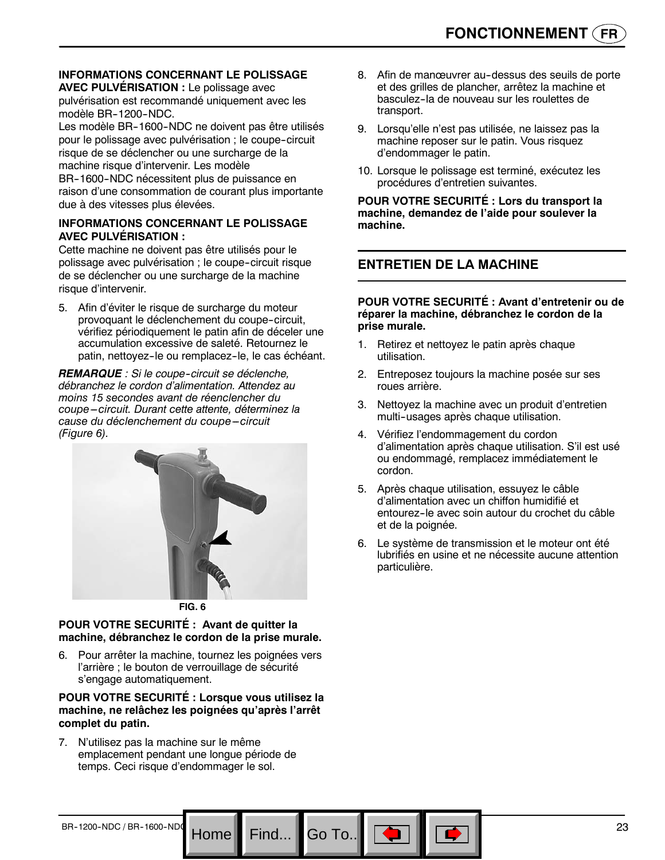#### **INFORMATIONS CONCERNANT LE POLISSAGE AVEC PULVÉRISATION :** Le polissage avec

pulvérisation est recommandé uniquement avec les modèle BR-1200-NDC.

Les modèle BR-1600-NDC ne doivent pas être utilisés pour le polissage avec pulvérisation ; le coupe-circuit risque de se déclencher ou une surcharge de la machine risque d'intervenir. Les modèle BR-1600-NDC nécessitent plus de puissance en

raison d'une consommation de courant plus importante due à des vitesses plus élevées.

#### **INFORMATIONS CONCERNANT LE POLISSAGE AVEC PULVÉRISATION :**

Cette machine ne doivent pas être utilisés pour le polissage avec pulvérisation ; le coupe-circuit risque de se déclencher ou une surcharge de la machine risque d'intervenir.

5. Afin d'éviter le risque de surcharge du moteur provoquant le déclenchement du coupe-circuit, vérifiez périodiquement le patin afin de déceler une accumulation excessive de saleté. Retournez le patin, nettoyez-le ou remplacez-le, le cas échéant.

**REMARQUE** : Si le coupe-circuit se déclenche, *débranchez le cordon d'alimentation. Attendez au moins 15 secondes avant de réenclencher du coupe ---circuit. Durant cette attente, déterminez la* cause du déclenchement du coupe-circuit *(Figure 6).*



**FIG. 6**

#### **POUR VOTRE SECURITÉ : Avant de quitter la machine, débranchez le cordon de la prise murale.**

6. Pour arrêter la machine, tournez les poignées vers l'arrière ; le bouton de verrouillage de sécurité s'engage automatiquement.

#### **POUR VOTRE SECURITÉ : Lorsque vous utilisez la machine, ne relâchez les poignées qu'après l'arrêt complet du patin.**

Go To.

7. N'utilisez pas la machine sur le même emplacement pendant une longue période de temps. Ceci risque d'endommager le sol.

- 8. Afin de manœuvrer au-dessus des seuils de porte et des grilles de plancher, arrêtez la machine et basculez-la de nouveau sur les roulettes de transport.
- 9. Lorsqu'elle n'est pas utilisée, ne laissez pas la machine reposer sur le patin. Vous risquez d'endommager le patin.
- 10. Lorsque le polissage est terminé, exécutez les procédures d'entretien suivantes.

**POUR VOTRE SECURITÉ : Lors du transport la machine, demandez de l'aide pour soulever la machine.**

# **ENTRETIEN DE LA MACHINE**

#### **POUR VOTRE SECURITÉ : Avant d'entretenir ou de réparer la machine, débranchez le cordon de la prise murale.**

- 1. Retirez et nettoyez le patin après chaque utilisation.
- 2. Entreposez toujours la machine posée sur ses roues arrière.
- 3. Nettoyez la machine avec un produit d'entretien multi--usages après chaque utilisation.
- 4. Vérifiez l'endommagement du cordon d'alimentation après chaque utilisation. S'il est usé ou endommagé, remplacez immédiatement le cordon.
- 5. Après chaque utilisation, essuyez le câble d'alimentation avec un chiffon humidifié et entourez-le avec soin autour du crochet du câble et de la poignée.
- 6. Le système de transmission et le moteur ont été lubrifiés en usine et ne nécessite aucune attention particulière.

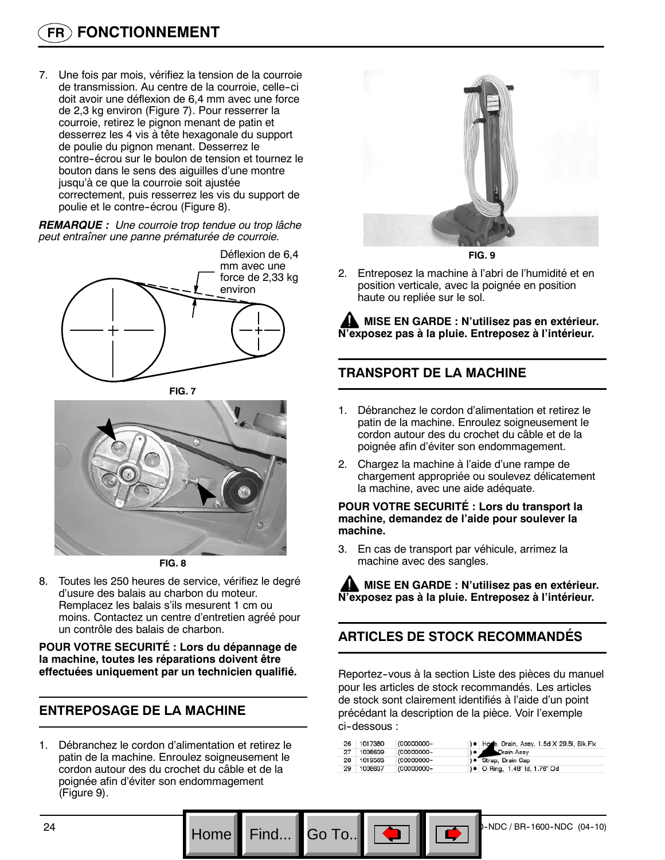7. Une fois par mois, vérifiez la tension de la courroie de transmission. Au centre de la courroie, celle--ci doit avoir une déflexion de 6,4 mm avec une force de 2,3 kg environ (Figure 7). Pour resserrer la courroie, retirez le pignon menant de patin et desserrez les 4 vis à tête hexagonale du support de poulie du pignon menant. Desserrez le contre-écrou sur le boulon de tension et tournez le bouton dans le sens des aiguilles d'une montre jusqu'à ce que la courroie soit ajustée correctement, puis resserrez les vis du support de poulie et le contre-écrou (Figure 8).

*REMARQUE : Une courroie trop tendue ou trop lâche peut entraîner une panne prématurée de courroie.*



**FIG. 7**



**FIG. 8**

8. Toutes les 250 heures de service, vérifiez le degré d'usure des balais au charbon du moteur. Remplacez les balais s'ils mesurent 1 cm ou moins. Contactez un centre d'entretien agréé pour un contrôle des balais de charbon.

**POUR VOTRE SECURITÉ : Lors du dépannage de la machine, toutes les réparations doivent être effectuées uniquement par un technicien qualifié.**

# **ENTREPOSAGE DE LA MACHINE**

1. Débranchez le cordon d'alimentation et retirez le patin de la machine. Enroulez soigneusement le cordon autour des du crochet du câble et de la poignée afin d'éviter son endommagement (Figure 9).



**FIG. 9**

2. Entreposez la machine à l'abri de l'humidité et en position verticale, avec la poignée en position haute ou repliée sur le sol.

**MISE EN GARDE : N'utilisez pas en extérieur. N'exposez pas à la pluie. Entreposez à l'intérieur.**

# **TRANSPORT DE LA MACHINE**

- 1. Débranchez le cordon d'alimentation et retirez le patin de la machine. Enroulez soigneusement le cordon autour des du crochet du câble et de la poignée afin d'éviter son endommagement.
- 2. Chargez la machine à l'aide d'une rampe de chargement appropriée ou soulevez délicatement la machine, avec une aide adéquate.

**POUR VOTRE SECURITÉ : Lors du transport la machine, demandez de l'aide pour soulever la machine.**

3. En cas de transport par véhicule, arrimez la machine avec des sangles.

**MISE EN GARDE : N'utilisez pas en extérieur. N'exposez pas à la pluie. Entreposez à l'intérieur.**

# **ARTICLES DE STOCK RECOMMANDÉS**

Reportez--vous à la section Liste des pièces du manuel pour les articles de stock recommandés. Les articles de stock sont clairement identifiés à l'aide d'un point précédant la description de la pièce. Voir l'exemple ci--dessous :

| ) • Drain Assy<br>(00000000-<br>27 1008639<br>) · Strap, Drain Cap<br>28 1019563<br>(00000000- |    | 26 1017380 | (00000000- | ) . Hoze, Drain, Assy, 1.5d X 29.5l, Blk, Flx |
|------------------------------------------------------------------------------------------------|----|------------|------------|-----------------------------------------------|
|                                                                                                |    |            |            |                                               |
|                                                                                                |    |            |            |                                               |
|                                                                                                | 29 | 1008637    | (00000000- | ) • O Ring, 1.48" Id, 1.76" Od                |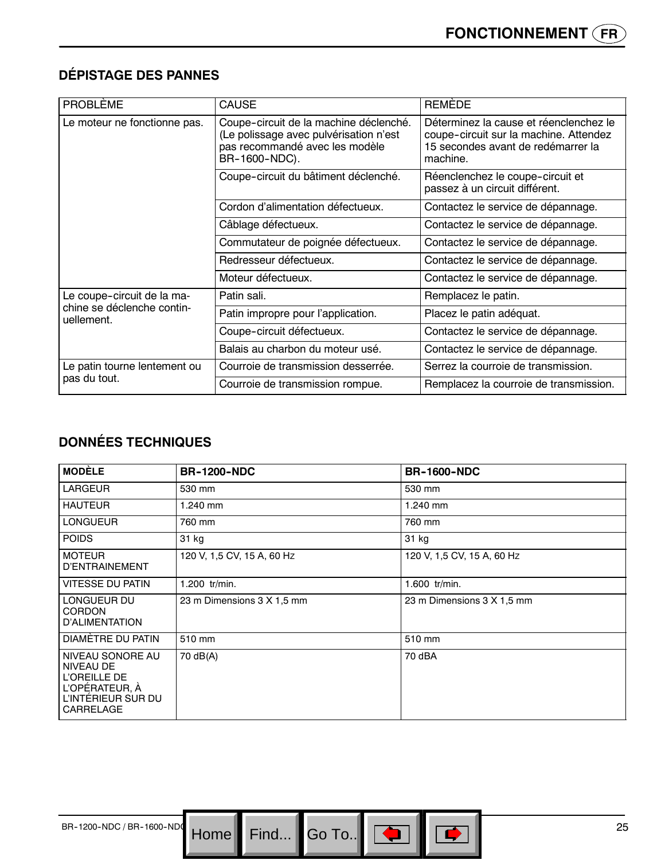# **DÉPISTAGE DES PANNES**

| <b>PROBLÈME</b>                          | <b>CAUSE</b>                                                                                                                        | <b>REMEDE</b>                                                                                                                      |
|------------------------------------------|-------------------------------------------------------------------------------------------------------------------------------------|------------------------------------------------------------------------------------------------------------------------------------|
| Le moteur ne fonctionne pas.             | Coupe-circuit de la machine déclenché.<br>(Le polissage avec pulvérisation n'est<br>pas recommandé avec les modèle<br>BR-1600-NDC). | Déterminez la cause et réenclenchez le<br>coupe-circuit sur la machine. Attendez<br>15 secondes avant de redémarrer la<br>machine. |
|                                          | Coupe-circuit du bâtiment déclenché.                                                                                                | Réenclenchez le coupe-circuit et<br>passez à un circuit différent.                                                                 |
|                                          | Cordon d'alimentation défectueux.                                                                                                   | Contactez le service de dépannage.                                                                                                 |
|                                          | Câblage défectueux.                                                                                                                 | Contactez le service de dépannage.                                                                                                 |
|                                          | Commutateur de poignée défectueux.                                                                                                  | Contactez le service de dépannage.                                                                                                 |
|                                          | Redresseur défectueux.                                                                                                              | Contactez le service de dépannage.                                                                                                 |
|                                          | Moteur défectueux.                                                                                                                  | Contactez le service de dépannage.                                                                                                 |
| Le coupe-circuit de la ma-               | Patin sali.                                                                                                                         | Remplacez le patin.                                                                                                                |
| chine se déclenche contin-<br>uellement. | Patin impropre pour l'application.                                                                                                  | Placez le patin adéquat.                                                                                                           |
|                                          | Coupe-circuit défectueux.                                                                                                           | Contactez le service de dépannage.                                                                                                 |
|                                          | Balais au charbon du moteur usé.                                                                                                    | Contactez le service de dépannage.                                                                                                 |
| Le patin tourne lentement ou             | Courroie de transmission desserrée.                                                                                                 | Serrez la courroie de transmission.                                                                                                |
| pas du tout.                             | Courroie de transmission rompue.                                                                                                    | Remplacez la courroie de transmission.                                                                                             |

# **DONNÉES TECHNIQUES**

| <b>MODÈLE</b>                                                                                             | <b>BR-1200-NDC</b>         | <b>BR-1600-NDC</b>         |
|-----------------------------------------------------------------------------------------------------------|----------------------------|----------------------------|
| <b>LARGEUR</b>                                                                                            | 530 mm                     | 530 mm                     |
| <b>HAUTEUR</b>                                                                                            | 1.240 mm                   | 1.240 mm                   |
| LONGUEUR                                                                                                  | 760 mm                     | 760 mm                     |
| <b>POIDS</b>                                                                                              | 31 kg                      | 31 kg                      |
| <b>MOTEUR</b><br>D'ENTRAINEMENT                                                                           | 120 V, 1,5 CV, 15 A, 60 Hz | 120 V, 1,5 CV, 15 A, 60 Hz |
| <b>VITESSE DU PATIN</b>                                                                                   | 1.200 tr/min.              | 1.600 tr/min.              |
| LONGUEUR DU<br><b>CORDON</b><br>D'ALIMENTATION                                                            | 23 m Dimensions 3 X 1,5 mm | 23 m Dimensions 3 X 1,5 mm |
| DIAMETRE DU PATIN                                                                                         | 510 mm                     | 510 mm                     |
| NIVEAU SONORE AU<br><b>NIVEAU DE</b><br>L'OREILLE DE<br>L'OPÉRATEUR, À<br>L'INTÉRIEUR SUR DU<br>CARRELAGE | 70 dB(A)                   | 70 dBA                     |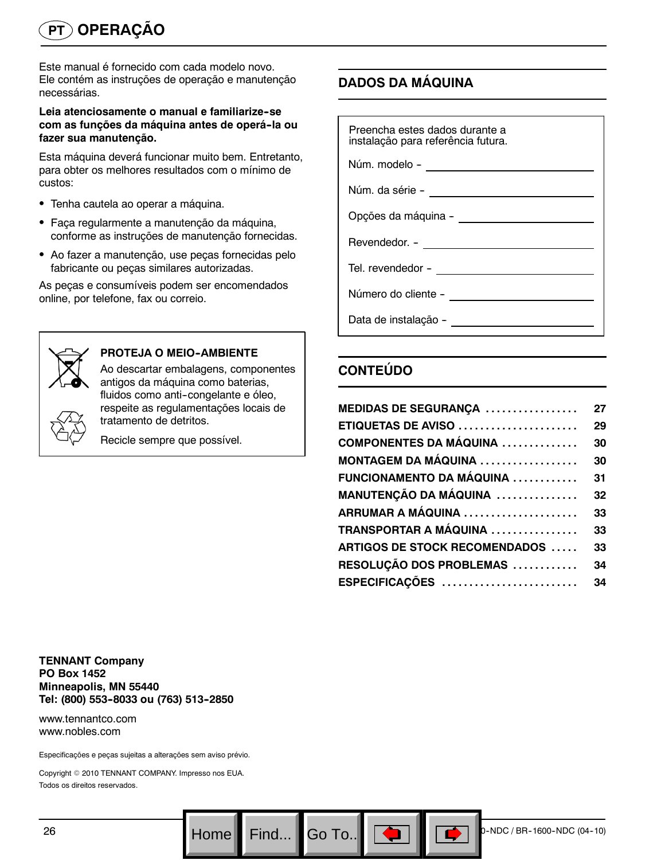Este manual é fornecido com cada modelo novo. Ele contém as instruções de operação e manutenção necessárias.

#### **Leia atenciosamente o manual e familiarize--se com as funções da máquina antes de operá--la ou fazer sua manutenção.**

Esta máquina deverá funcionar muito bem. Entretanto, para obter os melhores resultados com o mínimo de custos:

- Tenha cautela ao operar a máquina.
- Faça regularmente a manutenção da máquina, conforme as instruções de manutenção fornecidas.
- Ao fazer a manutenção, use peças fornecidas pelo fabricante ou peças similares autorizadas.

As peças e consumíveis podem ser encomendados online, por telefone, fax ou correio.



#### **PROTEJA O MEIO--AMBIENTE**

Ao descartar embalagens, componentes antigos da máquina como baterias, fluidos como anti-congelante e óleo, respeite as regulamentações locais de tratamento de detritos.

Recicle sempre que possível.

# **DADOS DA MÁQUINA**

| Preencha estes dados durante a<br>instalação para referência futura.                                          |  |  |
|---------------------------------------------------------------------------------------------------------------|--|--|
| Núm. modelo - _____________________________                                                                   |  |  |
|                                                                                                               |  |  |
|                                                                                                               |  |  |
|                                                                                                               |  |  |
|                                                                                                               |  |  |
| Número do cliente - vermente de la contra de la contra de la contra de la contra de la contra de la contra de |  |  |
| Data de instalação -                                                                                          |  |  |

# **CONTEÚDO**

| MEDIDAS DE SEGURANÇA                  | 27 |
|---------------------------------------|----|
| <b>ETIQUETAS DE AVISO </b>            | 29 |
| <b>COMPONENTES DA MÁQUINA </b>        | 30 |
| <b>MONTAGEM DA MÁQUINA</b>            | 30 |
| FUNCIONAMENTO DA MÁQUINA              | 31 |
| MANUTENÇÃO DA MÁQUINA                 | 32 |
|                                       | 33 |
| <b>TRANSPORTAR A MÁQUINA</b>          | 33 |
| <b>ARTIGOS DE STOCK RECOMENDADOS </b> | 33 |
| RESOLUÇÃO DOS PROBLEMAS               | 34 |
| ESPECIFICAÇÕES                        | 34 |

**TENNANT Company PO Box 1452 Minneapolis, MN 55440 Tel: (800) 553--8033 ou (763) 513--2850**

www.tennantco.com www.nobles.com

Especificações e peças sujeitas a alterações sem aviso prévio.

Copyright © 2010 TENNANT COMPANY. Impresso nos EUA. Todos os direitos reservados.

Go To.. $\|$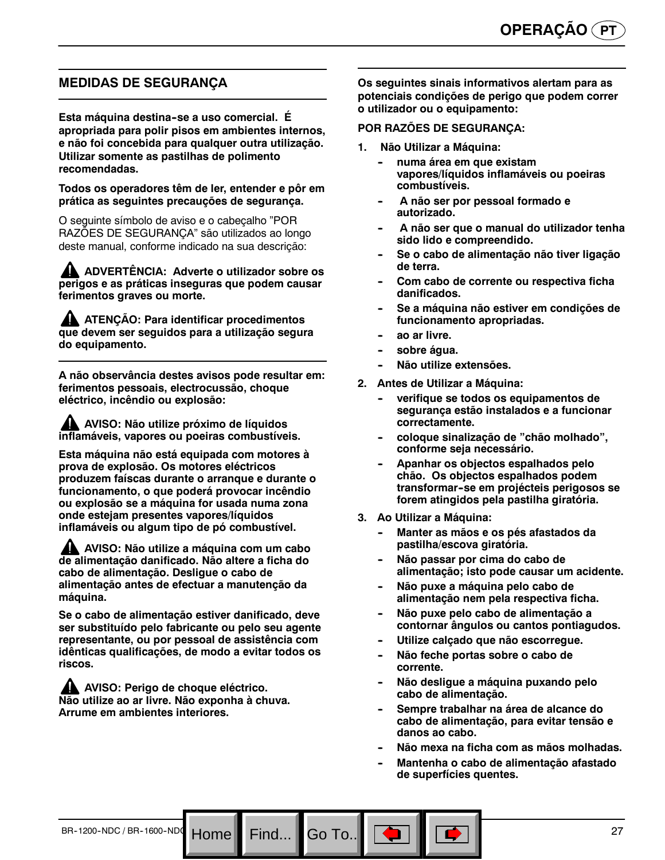### **MEDIDAS DE SEGURANÇA**

**Esta máquina destina--se a uso comercial. É apropriada para polir pisos em ambientes internos, e não foi concebida para qualquer outra utilização. Utilizar somente as pastilhas de polimento recomendadas.**

**Todos os operadores têm de ler, entender e pôr em prática as seguintes precauções de segurança.**

O seguinte símbolo de aviso e o cabeçalho "POR RAZÕES DE SEGURANÇA" são utilizados ao longo deste manual, conforme indicado na sua descrição:

**ADVERTÊNCIA: Adverte o utilizador sobre os perigos e as práticas inseguras que podem causar ferimentos graves ou morte.**

**ATENÇÃO: Para identificar procedimentos que devem ser seguidos para a utilização segura do equipamento.**

**A não observância destes avisos pode resultar em: ferimentos pessoais, electrocussão, choque eléctrico, incêndio ou explosão:**

**AVISO: Não utilize próximo de líquidos inflamáveis, vapores ou poeiras combustíveis.**

**Esta máquina não está equipada com motores à prova de explosão. Os motores eléctricos produzem faíscas durante o arranque e durante o funcionamento, o que poderá provocar incêndio ou explosão se a máquina for usada numa zona onde estejam presentes vapores/líquidos inflamáveis ou algum tipo de pó combustível.**

**AVISO: Não utilize a máquina com um cabo de alimentação danificado. Não altere a ficha do cabo de alimentação. Desligue o cabo de alimentação antes de efectuar a manutenção da máquina.**

**Se o cabo de alimentação estiver danificado, deve ser substituído pelo fabricante ou pelo seu agente representante, ou por pessoal de assistência com idênticas qualificações, de modo a evitar todos os riscos.**

Home<sup>|</sup>

**AVISO: Perigo de choque eléctrico. Não utilize ao ar livre. Não exponha à chuva. Arrume em ambientes interiores.**

**Os seguintes sinais informativos alertam para as potenciais condições de perigo que podem correr o utilizador ou o equipamento:**

#### **POR RAZÕES DE SEGURANÇA:**

- **1. Não Utilizar a Máquina:**
	- **-- numa área em que existam vapores/líquidos inflamáveis ou poeiras combustíveis.**
	- A não ser por pessoal formado e **autorizado.**
	- **-- A não ser que o manual do utilizador tenha sido lido e compreendido.**
	- **-- Se o cabo de alimentação não tiver ligação de terra.**
	- Com cabo de corrente ou respectiva ficha **danificados.**
	- Se a máquina não estiver em condições de **funcionamento apropriadas.**
	- ao ar livre.
	- sobre água.
	- **Não utilize extensões.**
- **2. Antes de Utilizar a Máquina:**
	- verifique se todos os equipamentos de **segurança estão instalados e a funcionar correctamente.**
	- **-- coloque sinalização de "chão molhado", conforme seja necessário.**
	- Apanhar os objectos espalhados pelo **chão. Os objectos espalhados podem transformar--se em projécteis perigosos se forem atingidos pela pastilha giratória.**
- **3. Ao Utilizar a Máquina:**
	- Manter as mãos e os pés afastados da **pastilha/escova giratória.**
	- Não passar por cima do cabo de **alimentação; isto pode causar um acidente.**
	- Não puxe a máquina pelo cabo de **alimentação nem pela respectiva ficha.**
	- Não puxe pelo cabo de alimentação a **contornar ângulos ou cantos pontiagudos.**
	- **-- Utilize calçado que não escorregue.**
	- Não feche portas sobre o cabo de **corrente.**
	- Não desligue a máquina puxando pelo **cabo de alimentação.**
	- Sempre trabalhar na área de alcance do **cabo de alimentação, para evitar tensão e danos ao cabo.**
	- **-- Não mexa na ficha com as mãos molhadas.**
	- **-- Mantenha o cabo de alimentação afastado de superfícies quentes.**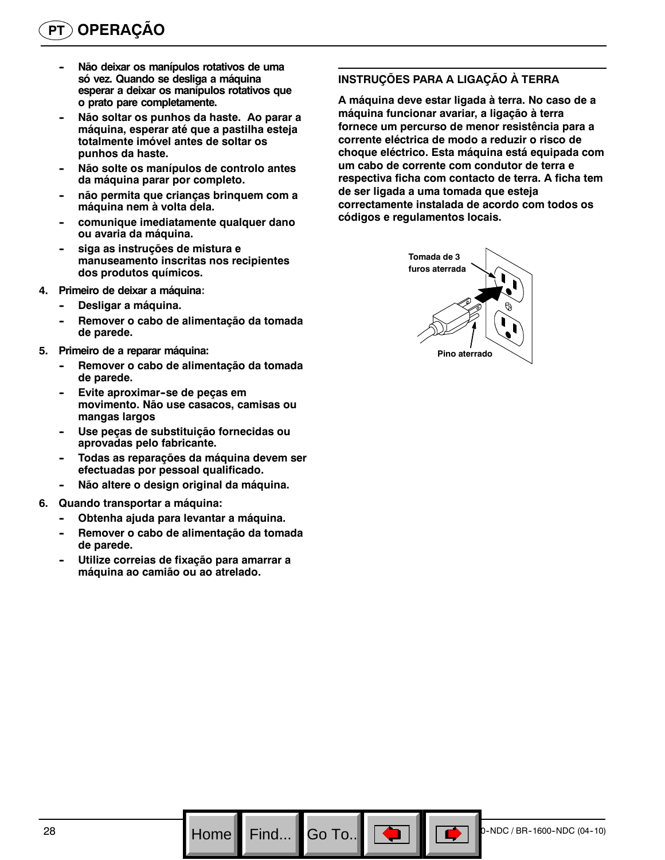- Não deixar os manípulos rotativos de uma **só vez. Quando se desliga a máquina esperar a deixar os manípulos rotativos que o prato pare completamente.**
- Não soltar os punhos da haste. Ao parar a **máquina, esperar até que a pastilha esteja totalmente imóvel antes de soltar os punhos da haste.**
- Não solte os manípulos de controlo antes **da máquina parar por completo.**
- não permita que crianças brinquem com a **máquina nem à volta dela.**
- comunique imediatamente qualquer dano **ou avaria da máquina.**
- siga as instruções de mistura e **manuseamento inscritas nos recipientes dos produtos químicos.**
- **4. Primeiro de deixar a máquina:**
	- **Desligar a máquina.**
	- Remover o cabo de alimentação da tomada **de parede.**
- **5. Primeiro de a reparar máquina:**
	- Remover o cabo de alimentação da tomada **de parede.**
	- **Evite aproximar-se de peças em movimento. Não use casacos, camisas ou mangas largos**
	- Use peças de substituição fornecidas ou **aprovadas pelo fabricante.**
	- **-- Todas as reparações da máquina devem ser efectuadas por pessoal qualificado.**
	- Não altere o design original da máquina.
- **6. Quando transportar a máquina:**
	- Obtenha ajuda para levantar a máquina.
	- Remover o cabo de alimentação da tomada **de parede.**
	- **-- Utilize correias de fixação para amarrar a máquina ao camião ou ao atrelado.**

#### **INSTRUÇÕES PARA A LIGAÇÃO À TERRA**

**A máquina deve estar ligada à terra. No caso de a máquina funcionar avariar, a ligação à terra fornece um percurso de menor resistência para a corrente eléctrica de modo a reduzir o risco de choque eléctrico. Esta máquina está equipada com um cabo de corrente com condutor de terra e respectiva ficha com contacto de terra. A ficha tem de ser ligada a uma tomada que esteja correctamente instalada de acordo com todos os códigos e regulamentos locais.**

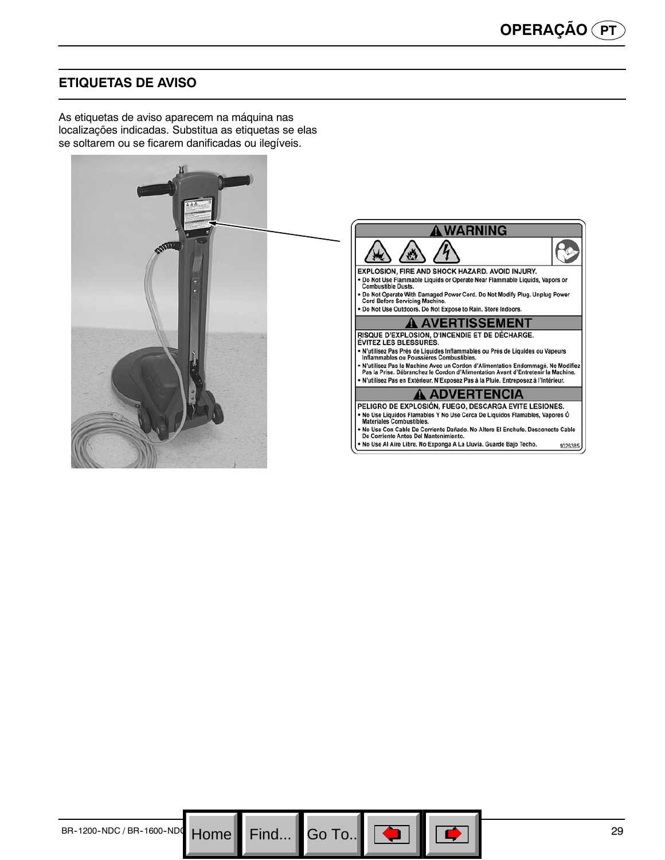# **ETIQUETAS DE AVISO**

As etiquetas de aviso aparecem na máquina nas localizações indicadas. Substitua as etiquetas se elas se soltarem ou se ficarem danificadas ou ilegíveis.



Go To.. $\blacksquare$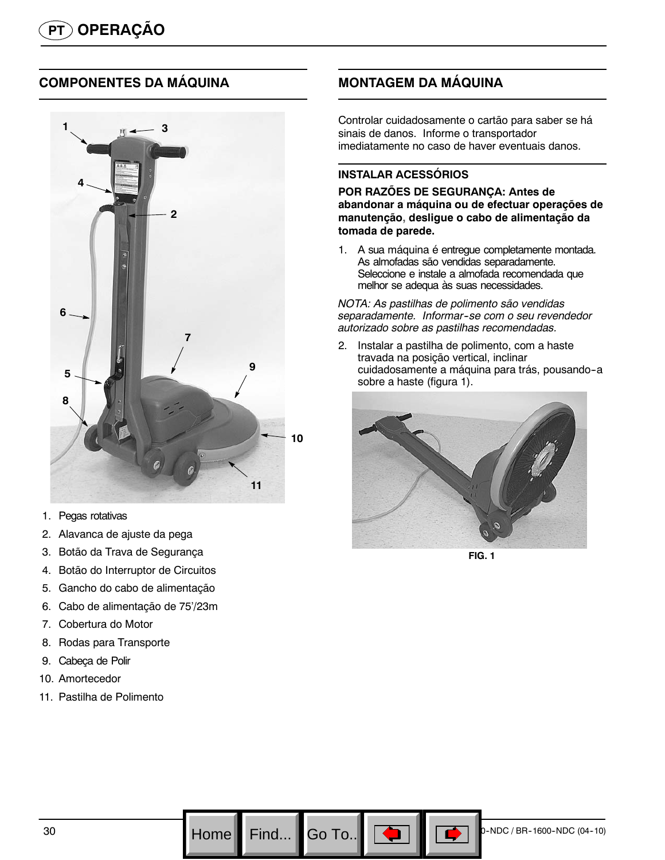# **COMPONENTES DA MÁQUINA**



- 1. Pegas rotativas
- 2. Alavanca de ajuste da pega
- 3. Botão da Trava de Segurança
- 4. Botão do Interruptor de Circuitos
- 5. Gancho do cabo de alimentação
- 6. Cabo de alimentação de 75'/23m
- 7. Cobertura do Motor
- 8. Rodas para Transporte
- 9. Cabeça de Polir
- 10. Amortecedor
- 11. Pastilha de Polimento

# **MONTAGEM DA MÁQUINA**

Controlar cuidadosamente o cartão para saber se há sinais de danos. Informe o transportador imediatamente no caso de haver eventuais danos.

#### **INSTALAR ACESSÓRIOS**

**POR RAZÕES DE SEGURANÇA: Antes de abandonar a máquina ou de efectuar operações de manutenção, desligue o cabo de alimentação da tomada de parede.**

1. A sua máquina é entregue completamente montada. As almofadas são vendidas separadamente. Seleccione e instale a almofada recomendada que melhor se adequa às suas necessidades.

*NOTA: As pastilhas de polimento são vendidas separadamente. Informar--se com o seu revendedor autorizado sobre as pastilhas recomendadas.*

2. Instalar a pastilha de polimento, com a haste travada na posição vertical, inclinar cuidadosamente a máquina para trás, pousando-a sobre a haste (figura 1).



**FIG. 1**

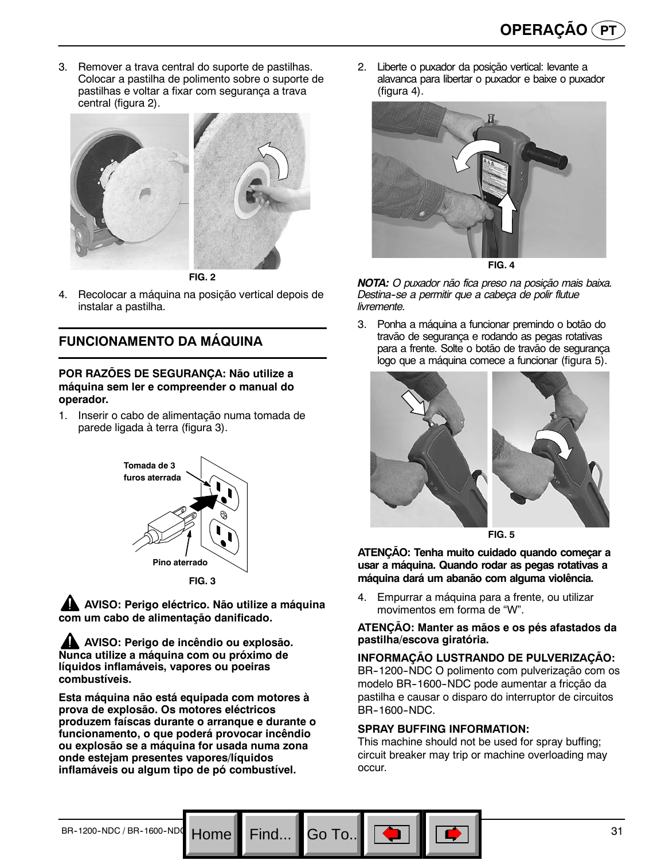3. Remover a trava central do suporte de pastilhas. Colocar a pastilha de polimento sobre o suporte de pastilhas e voltar a fixar com segurança a trava central (figura 2).



**FIG. 2**

4. Recolocar a máquina na posição vertical depois de instalar a pastilha.

# **FUNCIONAMENTO DA MÁQUINA**

#### **POR RAZÕES DE SEGURANÇA: Não utilize a máquina sem ler e compreender o manual do operador.**

1. Inserir o cabo de alimentação numa tomada de parede ligada à terra (figura 3).



**AVISO: Perigo eléctrico. Não utilize a máquina com um cabo de alimentação danificado.**

**AVISO: Perigo de incêndio ou explosão. Nunca utilize a máquina com ou próximo de líquidos inflamáveis, vapores ou poeiras combustíveis.**

**Esta máquina não está equipada com motores à prova de explosão. Os motores eléctricos produzem faíscas durante o arranque e durante o funcionamento, o que poderá provocar incêndio ou explosão se a máquina for usada numa zona onde estejam presentes vapores/líquidos inflamáveis ou algum tipo de pó combustível.**

2. Liberte o puxador da posição vertical: levante a alavanca para libertar o puxador e baixe o puxador (figura 4).



**FIG. 4**

*NOTA: O puxador não fica preso na posição mais baixa. Destina--se a permitir que a cabeça de polir flutue livremente.*

3. Ponha a máquina a funcionar premindo o botão do travão de segurança e rodando as pegas rotativas para a frente. Solte o botão de travão de segurança logo que a máquina comece a funcionar (figura 5).



**FIG. 5**

**ATENÇÃO: Tenha muito cuidado quando começar a usar a máquina. Quando rodar as pegas rotativas a máquina dará um abanão com alguma violência.**

4. Empurrar a máquina para a frente, ou utilizar movimentos em forma de "W".

#### **ATENÇÃO: Manter as mãos e os pés afastados da pastilha/escova giratória.**

**INFORMAÇÃO LUSTRANDO DE PULVERIZAÇÃO:** BR-1200-NDC O polimento com pulverização com os modelo BR--1600--NDC pode aumentar a fricção da pastilha e causar o disparo do interruptor de circuitos BR--1600--NDC.

#### **SPRAY BUFFING INFORMATION:**

Go To.

This machine should not be used for spray buffing; circuit breaker may trip or machine overloading may occur.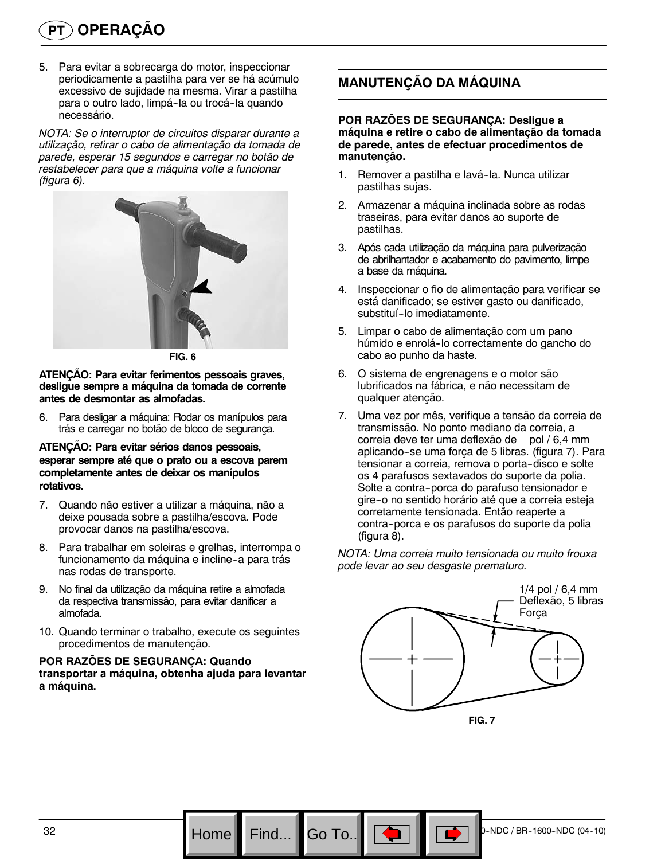5. Para evitar a sobrecarga do motor, inspeccionar periodicamente a pastilha para ver se há acúmulo excessivo de sujidade na mesma. Virar a pastilha para o outro lado, limpá-la ou trocá-la quando necessário.

*NOTA: Se o interruptor de circuitos disparar durante a utilização, retirar o cabo de alimentação da tomada de parede, esperar 15 segundos e carregar no botão de restabelecer para que a máquina volte a funcionar (figura 6).*



**FIG. 6**

**ATENÇÃO: Para evitar ferimentos pessoais graves, desligue sempre a máquina da tomada de corrente antes de desmontar as almofadas.**

6. Para desligar a máquina: Rodar os manípulos para trás e carregar no botão de bloco de segurança.

#### **ATENÇÃO: Para evitar sérios danos pessoais, esperar sempre até que o prato ou a escova parem completamente antes de deixar os manípulos rotativos.**

- 7. Quando não estiver a utilizar a máquina, não a deixe pousada sobre a pastilha/escova. Pode provocar danos na pastilha/escova.
- 8. Para trabalhar em soleiras e grelhas, interrompa o funcionamento da máquina e incline-a para trás nas rodas de transporte.
- 9. No final da utilização da máquina retire a almofada da respectiva transmissão, para evitar danificar a almofada.
- 10. Quando terminar o trabalho, execute os seguintes procedimentos de manutenção.

#### **POR RAZÕES DE SEGURANÇA: Quando transportar a máquina, obtenha ajuda para levantar a máquina.**

# **MANUTENÇÃO DA MÁQUINA**

#### **POR RAZÕES DE SEGURANÇA: Desligue a máquina e retire o cabo de alimentação da tomada de parede, antes de efectuar procedimentos de manutenção.**

- 1. Remover a pastilha e lavá-la. Nunca utilizar pastilhas sujas.
- 2. Armazenar a máquina inclinada sobre as rodas traseiras, para evitar danos ao suporte de pastilhas.
- 3. Após cada utilização da máquina para pulverização de abrilhantador e acabamento do pavimento, limpe a base da máquina.
- 4. Inspeccionar o fio de alimentação para verificar se está danificado; se estiver gasto ou danificado, substituí-lo imediatamente.
- 5. Limpar o cabo de alimentação com um pano húmido e enrolá--lo correctamente do gancho do cabo ao punho da haste.
- 6. O sistema de engrenagens e o motor são lubrificados na fábrica, e não necessitam de qualquer atenção.
- 7. Uma vez por mês, verifique a tensão da correia de transmissão. No ponto mediano da correia, a correia deve ter uma deflexão de pol / 6,4 mm aplicando-se uma força de 5 libras. (figura 7). Para tensionar a correia, remova o porta-disco e solte os 4 parafusos sextavados do suporte da polia. Solte a contra-porca do parafuso tensionador e gire--o no sentido horário até que a correia esteja corretamente tensionada. Então reaperte a contra--porca e os parafusos do suporte da polia (figura 8).

*NOTA: Uma correia muito tensionada ou muito frouxa pode levar ao seu desgaste prematuro.*



**FIG. 7**

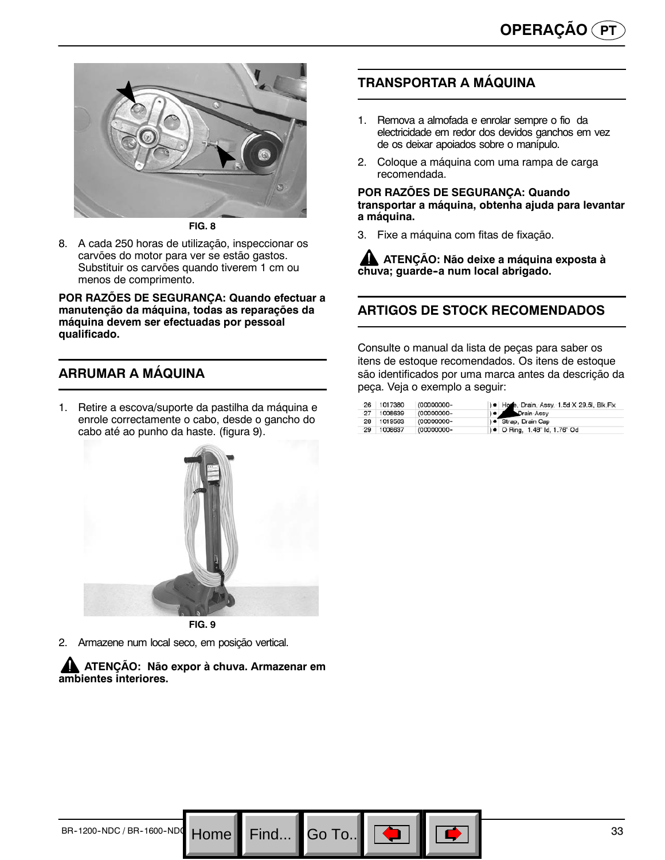

**FIG. 8**

8. A cada 250 horas de utilização, inspeccionar os carvões do motor para ver se estão gastos. Substituir os carvões quando tiverem 1 cm ou menos de comprimento.

**POR RAZÕES DE SEGURANÇA: Quando efectuar a manutenção da máquina, todas as reparações da máquina devem ser efectuadas por pessoal qualificado.**

# **ARRUMAR A MÁQUINA**

1. Retire a escova/suporte da pastilha da máquina e enrole correctamente o cabo, desde o gancho do cabo até ao punho da haste. (figura 9).



2. Armazene num local seco, em posição vertical.

**ATENÇÃO: Não expor à chuva. Armazenar em ambientes interiores.**

Go To..

# **TRANSPORTAR A MÁQUINA**

- 1. Remova a almofada e enrolar sempre o fio da electricidade em redor dos devidos ganchos em vez de os deixar apoiados sobre o manípulo.
- 2. Coloque a máquina com uma rampa de carga recomendada.

#### **POR RAZÕES DE SEGURANÇA: Quando transportar a máquina, obtenha ajuda para levantar a máquina.**

3. Fixe a máquina com fitas de fixação.

**ATENÇÃO: Não deixe a máquina exposta à** chuva; guarde-a num local abrigado.

# **ARTIGOS DE STOCK RECOMENDADOS**

Consulte o manual da lista de peças para saber os itens de estoque recomendados. Os itens de estoque são identificados por uma marca antes da descrição da peça. Veja o exemplo a seguir:

| 26 | 1017380 | (00000000- | ) . Hone, Drain, Assy, 1.5d X 29.5l, Blk, Flx |
|----|---------|------------|-----------------------------------------------|
| 27 | 1008639 | (00000000- | <b>Company</b> Drain Assy                     |
| 28 | 1019563 | (00000000- | ) · Strap, Drain Cap                          |
| 29 | 1008637 | (00000000- | ) • O Ring, 1.48" ld, 1.76" Od                |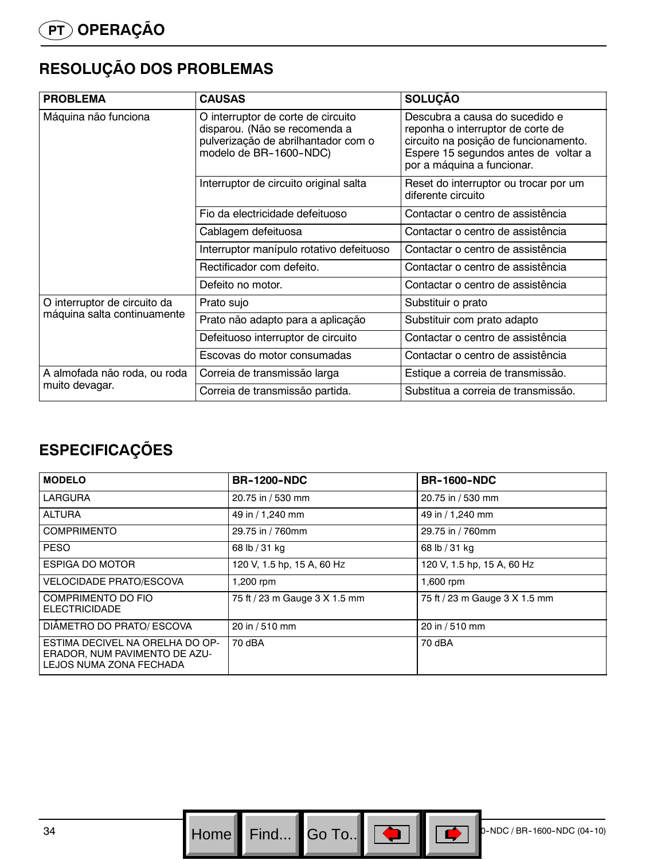# **RESOLUÇÃO DOS PROBLEMAS**

| <b>PROBLEMA</b>              | <b>CAUSAS</b>                                                                                                                        | <b>SOLUÇÃO</b>                                                                                                                                                                     |
|------------------------------|--------------------------------------------------------------------------------------------------------------------------------------|------------------------------------------------------------------------------------------------------------------------------------------------------------------------------------|
| Máquina não funciona         | O interruptor de corte de circuito<br>disparou. (Não se recomenda a<br>pulverização de abrilhantador com o<br>modelo de BR-1600-NDC) | Descubra a causa do sucedido e<br>reponha o interruptor de corte de<br>circuito na posição de funcionamento.<br>Espere 15 segundos antes de voltar a<br>por a máquina a funcionar. |
|                              | Interruptor de circuito original salta                                                                                               | Reset do interruptor ou trocar por um<br>diferente circuito                                                                                                                        |
|                              | Fio da electricidade defeituoso                                                                                                      | Contactar o centro de assistência                                                                                                                                                  |
|                              | Cablagem defeituosa                                                                                                                  | Contactar o centro de assistência                                                                                                                                                  |
|                              | Interruptor manípulo rotativo defeituoso                                                                                             | Contactar o centro de assistência                                                                                                                                                  |
|                              | Rectificador com defeito.                                                                                                            | Contactar o centro de assistência                                                                                                                                                  |
|                              | Defeito no motor.                                                                                                                    | Contactar o centro de assistência                                                                                                                                                  |
| O interruptor de circuito da | Prato sujo                                                                                                                           | Substituir o prato                                                                                                                                                                 |
| máquina salta continuamente  | Prato não adapto para a aplicação                                                                                                    | Substituir com prato adapto                                                                                                                                                        |
|                              | Defeituoso interruptor de circuito                                                                                                   | Contactar o centro de assistência                                                                                                                                                  |
|                              | Escovas do motor consumadas                                                                                                          | Contactar o centro de assistência                                                                                                                                                  |
| A almofada não roda, ou roda | Correia de transmissão larga                                                                                                         | Estique a correia de transmissão.                                                                                                                                                  |
| muito devagar.               | Correia de transmissão partida.                                                                                                      | Substitua a correia de transmissão.                                                                                                                                                |

# **ESPECIFICAÇÕES**

| <b>MODELO</b>                                                                               | <b>BR-1200-NDC</b>            | <b>BR-1600-NDC</b>            |
|---------------------------------------------------------------------------------------------|-------------------------------|-------------------------------|
| <b>LARGURA</b>                                                                              | 20.75 in / 530 mm             | 20.75 in / 530 mm             |
| <b>ALTURA</b>                                                                               | 49 in / 1,240 mm              | 49 in / 1,240 mm              |
| <b>COMPRIMENTO</b>                                                                          | 29.75 in / 760mm              | 29.75 in / 760mm              |
| <b>PESO</b>                                                                                 | 68 lb / 31 kg                 | 68 lb / 31 kg                 |
| ESPIGA DO MOTOR                                                                             | 120 V, 1.5 hp, 15 A, 60 Hz    | 120 V, 1.5 hp, 15 A, 60 Hz    |
| <b>VELOCIDADE PRATO/ESCOVA</b>                                                              | 1,200 rpm                     | 1,600 rpm                     |
| COMPRIMENTO DO FIO<br><b>ELECTRICIDADE</b>                                                  | 75 ft / 23 m Gauge 3 X 1.5 mm | 75 ft / 23 m Gauge 3 X 1.5 mm |
| DIÂMETRO DO PRATO/ ESCOVA                                                                   | 20 in / 510 mm                | 20 in / 510 mm                |
| ESTIMA DECIVEL NA ORELHA DO OP-<br>ERADOR, NUM PAVIMENTO DE AZU-<br>LEJOS NUMA ZONA FECHADA | 70 dBA                        | 70 dBA                        |

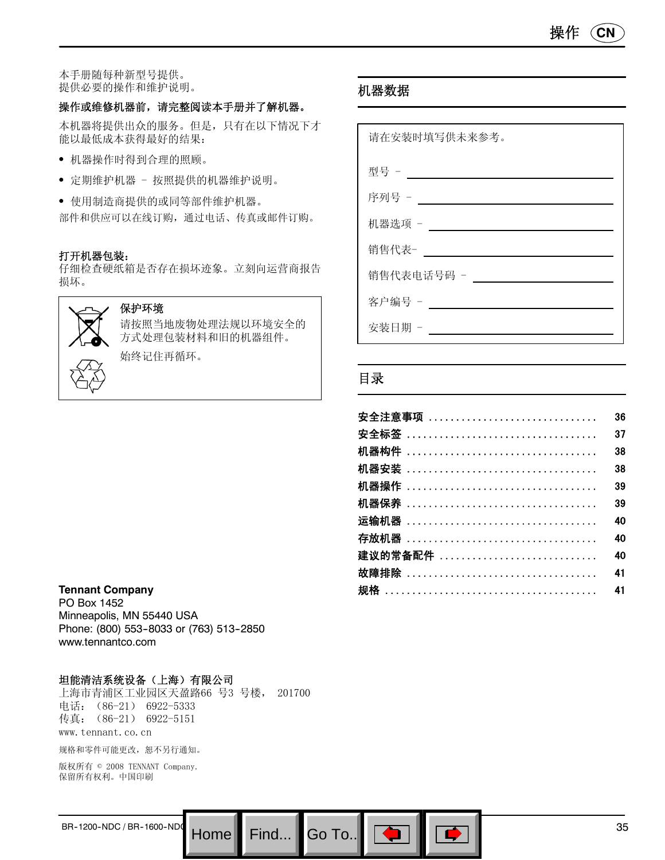本手册随每种新型号提供。 提供必要的操作和维护说明。

#### 操作或维修机器前,请完整阅读本手册并了解机器。

本机器将提供出众的服务。但是,只有在以下情况下才 能以最低成本获得最好的结果:

- 机器操作时得到合理的照顾。
- 定期维护机器 按照提供的机器维护说明。

S 使用制造商提供的或同等部件维护机器。 部件和供应可以在线订购,通过电话、传真或邮件订购。

#### 打开机器包装:

仔细检查硬纸箱是否存在损坏迹象。立刻向运营商报告 损坏。



#### 保护环境

请按照当地废物处理法规以环境安全的 方式处理包装材料和旧的机器组件。 始终记住再循环。

# 机器数据

| 请在安装时填写供未来参考。 |
|---------------|
| 型号 -          |
| 序列号 - ____    |
| 机器选项 -        |
| 销售代表-         |
| 销售代表电话号码 -    |
| 客户编号 -        |
| 安装日期 -        |

### 目录

Go To.. $\,$ 

| 安全注意事项               | 36 |
|----------------------|----|
|                      | 37 |
|                      | 38 |
|                      | 38 |
|                      | 39 |
|                      | 39 |
| 运输机器 ……………………………………… | 40 |
|                      | 40 |
| 建议的常备配件              | 40 |
|                      | 41 |
|                      | 41 |

#### **Tennant Company**

PO Box 1452 Minneapolis, MN 55440 USA Phone: (800) 553-8033 or (763) 513-2850 www.tennantco.com

#### 坦能清洁系统设备(上海)有限公司

上海市青浦区工业园区天盈路66 号3 号楼, 201700 电话: (86-21) 6922-5333 传真:(86-21) 6922-5151 www.tennant.co.cn

规格和零件可能更改,恕不另行通知。

版权所有 © 2008 TENNANT Company. 保留所有权利。中国印刷

BR-1200-NDC/BR-1600-NDC Home Find... Go To..  $\boxed{ }$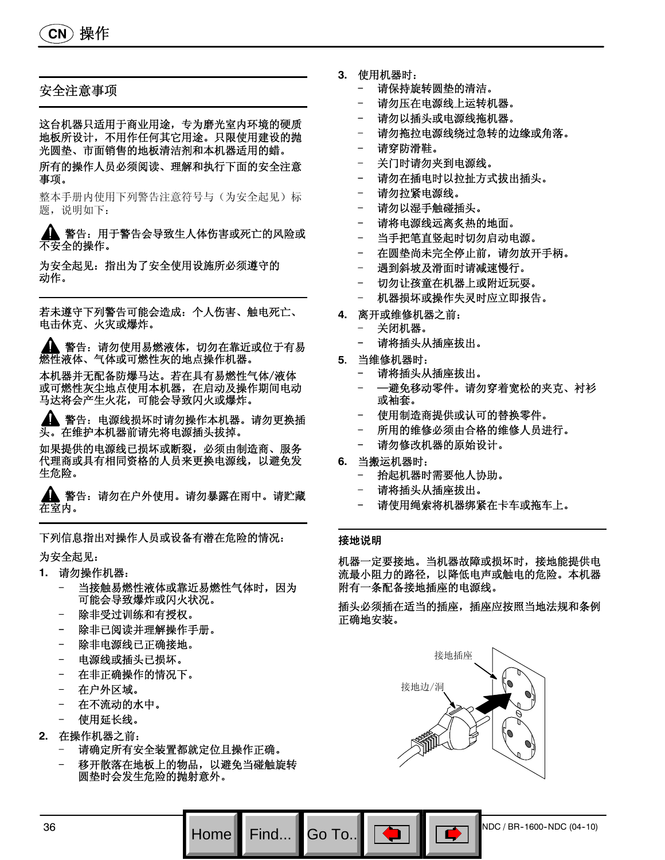**CN** 操作

#### 安全注意事项

这台机器只适用于商业用途,专为磨光室内环境的硬质 地板所设计,不用作任何其它用途。只限使用建设的抛 光圆垫、市面销售的地板清洁剂和本机器适用的蜡。

所有的操作人员必须阅读、理解和执行下面的安全注意 事项。

整本手册内使用下列警告注意符号与(为安全起见)标 题,说明如下:

警告:用于警告会导致生人体伤害或死亡的风险或 不安全的操作。

为安全起见:指出为了安全使用设施所必须遵守的 动作。

若未遵守下列警告可能会造成:个人伤害、触电死亡、 电击休克、火灾或爆炸。

警告:请勿使用易燃液体,切勿在靠近或位于有易 **燃性液体、气体或可燃性灰的地点操作机器。** 

本机器并无配备防爆马达。若在具有易燃性气体/液体 或可燃性灰尘地点使用本机器,在启动及操作期间电动 马达将会产生火花,可能会导致闪火或爆炸。

警告:电源线损坏时请勿操作本机器。请勿更换插 头。在维护本机器前请先将电源插头拔掉。

如果提供的电源线已损坏或断裂,必须由制造商、服务 代理商或具有相同资格的人员来更换电源线,以避免发 生危险。

警告:请勿在户外使用。请勿暴露在雨中。请贮藏 在室内。

下列信息指出对操作人员或设备有潜在危险的情况: 为安全起见:

- **1.** 请勿操作机器:
	- 当接触易燃性液体或靠近易燃性气体时,因为 可能会导致爆炸或闪火状况。
	- 除非受过训练和有授权。
	- 除非已阅读并理解操作手册。
	- 除非电源线已正确接地。
	- 电源线或插头已损坏。
	- 在非正确操作的情况下。
	- 在户外区域。
	- 在不流动的水中。
	- 使用延长线。
- **2.** 在操作机器之前:
	- 请确定所有安全装置都就定位且操作正确。
	- 移开散落在地板上的物品,以避免当碰触旋转 圆垫时会发生危险的抛射意外。
- **3.** 使用机器时:
	- 请保持旋转圆垫的清洁。
	- 请勿压在电源线上运转机器。
	- 请勿以插头或电源线拖机器。
	- 请勿拖拉电源线绕过急转的边缘或角落。
	- 请穿防滑鞋。
	- 关门时请勿夹到电源线。
	- 请勿在插电时以拉扯方式拔出插头。
	- 请勿拉紧电源线。
	- 请勿以湿手触碰插头。
	- 请将电源线远离炙热的地面。
	- 当手把笔直竖起时切勿启动电源。
	- 在圆垫尚未完全停止前,请勿放开手柄。
	- 遇到斜坡及滑面时请减速慢行。
	- 切勿让孩童在机器上或附近玩耍。
	- 机器损坏或操作失灵时应立即报告。
- **4.** 离开或维修机器之前:
	- 关闭机器。
	- 请将插头从插座拔出。
- **5**. 当维修机器时:
	- 请将插头从插座拔出。
	- —避免移动零件。请勿穿着宽松的夹克、衬衫 或袖套。
	- 使用制造商提供或认可的替换零件。
	- 所用的维修必须由合格的维修人员进行。
	- 请勿修改机器的原始设计。
- **6.** 当搬运机器时:
	- 抬起机器时需要他人协助。
	- 请将插头从插座拔出。
	- 请使用绳索将机器绑紧在卡车或拖车上。

#### 接地说明

Go To.

机器一定要接地。当机器故障或损坏时,接地能提供电 流最小阻力的路径,以降低电声或触电的危险。本机器 附有一条配备接地插座的电源线。

插头必须插在适当的插座,插座应按照当地法规和条例 正确地安装。

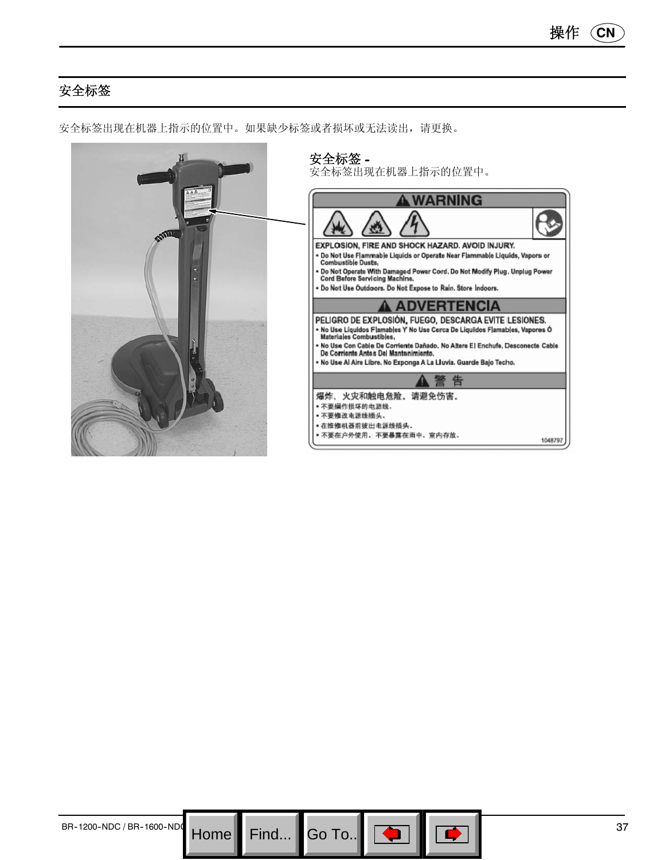# 安全标签



安全标签出现在机器上指示的位置中。如果缺少标签或者损坏或无法读出,请更换。

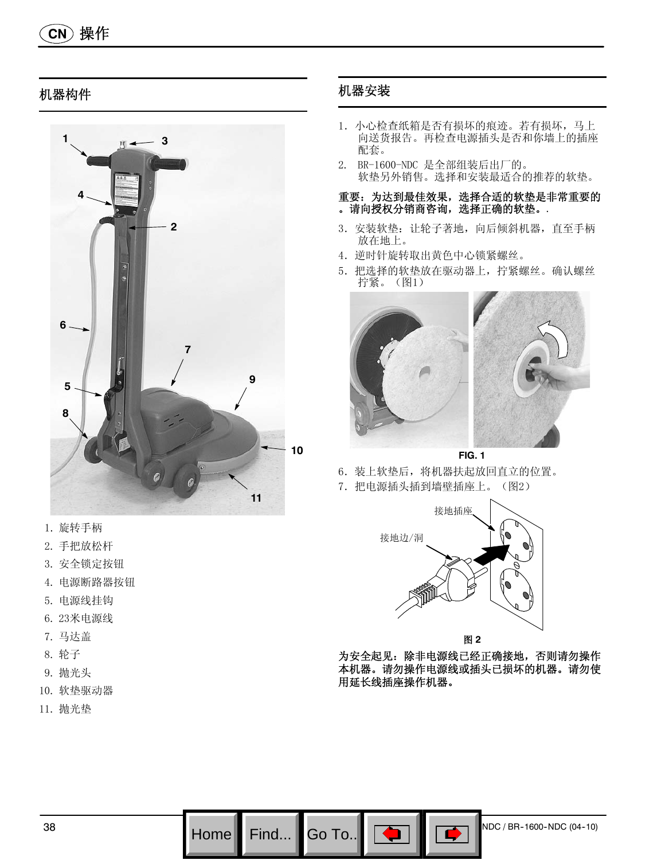# 机器构件



- 1. 旋转手柄
- 2. 手把放松杆
- 3. 安全锁定按钮
- 4. 电源断路器按钮
- 5. 电源线挂钩
- 6. 23米电源线
- 7. 马达盖
- 8. 轮子
- 9. 抛光头
- 10. 软垫驱动器
- 11. 抛光垫

# 机器安装

- 1.小心检查纸箱是否有损坏的痕迹。若有损坏,马上 向送货报告。再检查电源插头是否和你墙上的插座 配套。
- 2. BR-1600-NDC 是全部组装后出厂的。 软垫另外销售。选择和安装最适合的推荐的软垫。

#### 重要:为达到最佳效果,选择合适的软垫是非常重要的 。请向授权分销商咨询,选择正确的软垫。.

- 3. 安装软垫: 让轮子著地, 向后倾斜机器, 直至手柄 放在地上。
- 4.逆时针旋转取出黄色中心锁紧螺丝。
- 5.把选择的软垫放在驱动器上,拧紧螺丝。确认螺丝 拧紧。(图1)



**FIG. 1**

6.装上软垫后,将机器扶起放回直立的位置。 7.把电源插头插到墙壁插座上。(图2)



为安全起见: 除非电源线已经正确接地, 否则请勿操作 本机器。请勿操作电源线或插头已损坏的机器。请勿使 用延长线插座操作机器。

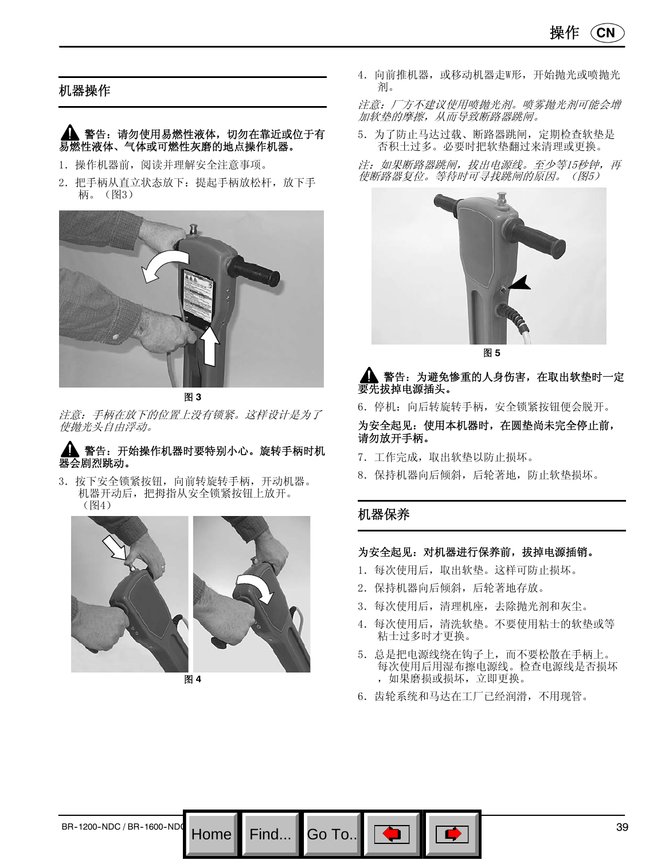### 机器操作

#### 警告:请勿使用易燃性液体,切勿在靠近或位于有 易燃性液体、气体或可燃性灰磨的地点操作机器。

- 1.操作机器前,阅读并理解安全注意事项。
- 2. 把手柄从直立状态放下: 提起手柄放松杆,放下手 柄。(图3)





注意:手柄在放下的位置上没有锁紧。这样设计是为了 使抛光头自由浮动。

#### 警告:开始操作机器时要特别小心。旋转手柄时机 器会剧烈跳动。

3.按下安全锁紧按钮,向前转旋转手柄,开动机器。 机器开动后,把拇指从安全锁紧按钮上放开。 (图4)



图 **4**

4. 向前推机器, 或移动机器走W形, 开始抛光或喷抛光 剂。

注意:厂方不建议使用喷抛光剂。喷雾抛光剂可能会增 加软垫的摩擦,从而导致断路器跳闸。

5.为了防止马达过载、断路器跳闸,定期检查软垫是 否积土过多。必要时把软垫翻过来清理或更换。

注:如果断路器跳闸,拔出电源线。至少等15秒钟,再 使断路器复位。等待时可寻找跳闸的原因。(图5)



图 **5**

#### 警告: 为避免惨重的人身伤害, 在取出软垫时一定 要先拔掉电源插头。

6.停机:向后转旋转手柄,安全锁紧按钮便会脱开。

为安全起见:使用本机器时,在圆垫尚未完全停止前, 请勿放开手柄。

- 7.工作完成,取出软垫以防止损坏。
- 8.保持机器向后倾斜,后轮著地,防止软垫损坏。

# 机器保养

Go To.

#### 为安全起见:对机器进行保养前,拔掉电源插销。

- 1.每次使用后,取出软垫。这样可防止损坏。
- 2.保持机器向后倾斜,后轮著地存放。
- 3.每次使用后,清理机座,去除抛光剂和灰尘。
- 4.每次使用后,清洗软垫。不要使用粘士的软垫或等 粘士过多时才更换。
- 5.总是把电源线绕在钩子上,而不要松散在手柄上。 每次使用后用湿布擦电源线。检查电源线是否损坏 ,如果磨损或损坏,立即更换。
- 6.齿轮系统和马达在工厂已经润滑,不用现管。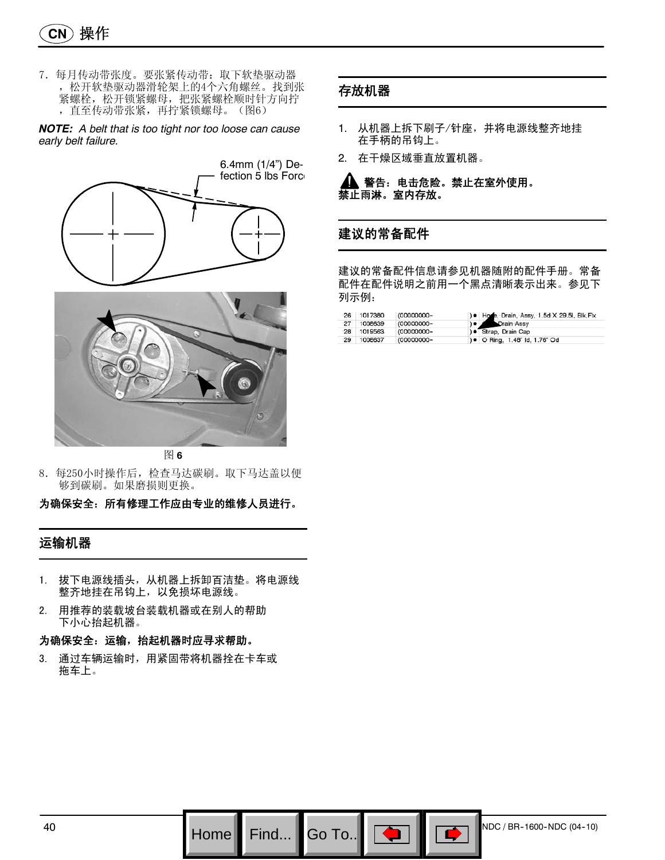7.每月传动带张度。要张紧传动带:取下软垫驱动器 ,松开软垫驱动器滑轮架上的4个六角螺丝。找到张 紧螺栓,松开锁紧螺母,把张紧螺栓顺时针方向拧 ,直至传动带张紧,再拧紧锁螺母。(图6)

*NOTE: A belt that is too tight nor too loose can cause early belt failure.*





图 **6**

- 8.每250小时操作后,检查马达碳刷。取下马达盖以便 够到碳刷。如果磨损则更换。
- 为确保安全:所有修理工作应由专业的维修人员进行。

#### 运输机器

- 1. 拔下电源线插头,从机器上拆卸百洁垫。将电源线 整齐地挂在吊钩上,以免损坏电源线。
- 2. 用推荐的装载坡台装载机器或在别人的帮助 下小心抬起机器。

#### 为确保安全:运输,抬起机器时应寻求帮助。

3. 通过车辆运输时,用紧固带将机器拴在卡车或 拖车上。

#### 存放机器

- 1. 从机器上拆下刷子/针座,并将电源线整齐地挂 在手柄的吊钩上。
- 2. 在干燥区域垂直放置机器。

警告:电击危险。禁止在室外使用。 禁止雨淋。室内存放。

### 建议的常备配件

建议的常备配件信息请参见机器随附的配件手册。常备 配件在配件说明之前用一个黑点清晰表示出来。参见下 列示例:

| 26 | 1017380 | (00000000- | ) . Hone, Drain, Assy, 1.5d X 29.5l, Blk, Flx |
|----|---------|------------|-----------------------------------------------|
| 27 | 1008639 | (00000000- | Drain Assy                                    |
| 28 | 1019563 | (00000000- | ) ● Strap, Drain Cap                          |
| 29 | 1008637 | (00000000- | ) • O Ring, 1.48" ld, 1.76" Od                |